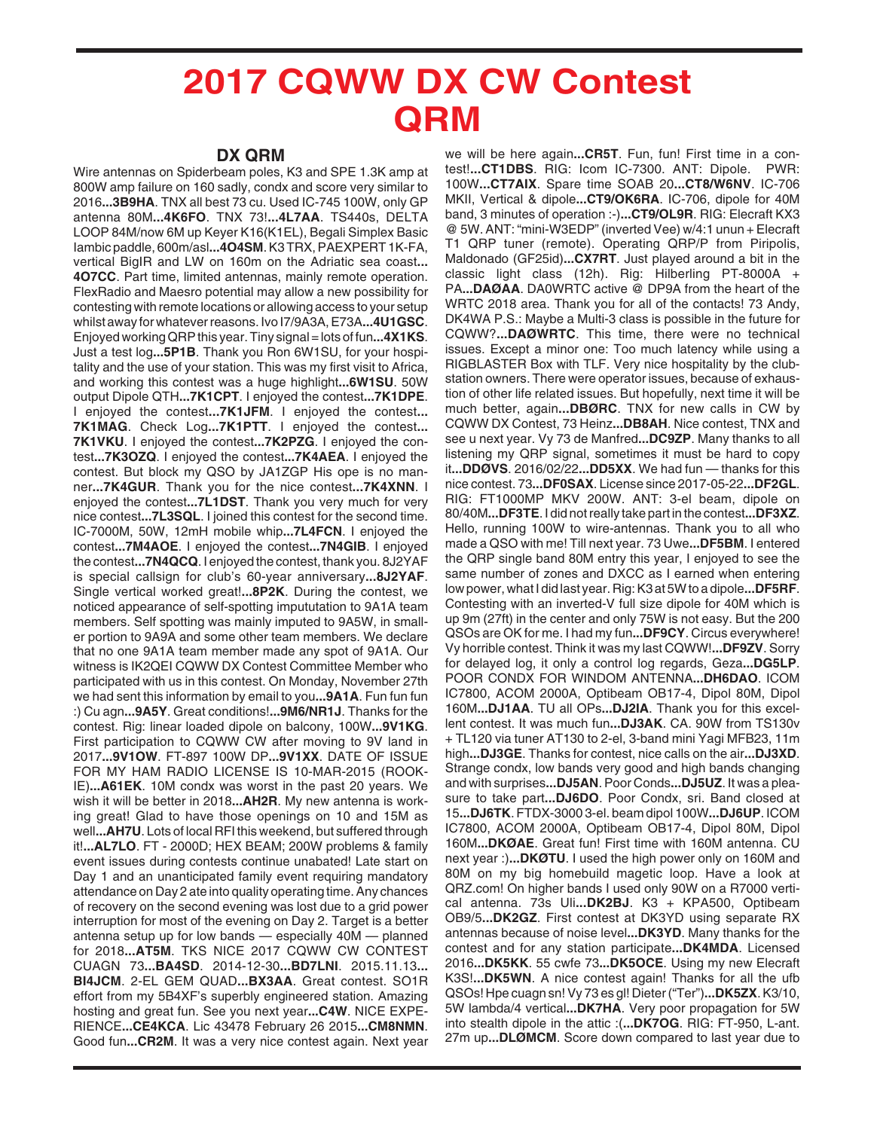## **2017 CQWW DX CW Contest QRM**

## **DX QRM**

Wire antennas on Spiderbeam poles, K3 and SPE 1.3K amp at 800W amp failure on 160 sadly, condx and score very similar to 2016**...3B9HA**. TNX all best 73 cu. Used IC-745 100W, only GP antenna 80M**...4K6FO**. TNX 73!**...4L7AA**. TS440s, DELTA LOOP 84M/now 6M up Keyer K16(K1EL), Begali Simplex Basic Iambic paddle, 600m/asl**...4O4SM**. K3 TRX, PAEXPERT 1K-FA, vertical BigIR and LW on 160m on the Adriatic sea coast**... 4O7CC**. Part time, limited antennas, mainly remote operation. FlexRadio and Maesro potential may allow a new possibility for contesting with remote locations or allowing access to your setup whilst away for whatever reasons. Ivo I7/9A3A, E73A**...4U1GSC**. Enjoyed working QRP this year. Tiny signal = lots of fun**...4X1KS**. Just a test log**...5P1B**. Thank you Ron 6W1SU, for your hospitality and the use of your station. This was my first visit to Africa, and working this contest was a huge highlight**...6W1SU**. 50W output Dipole QTH**...7K1CPT**. I enjoyed the contest**...7K1DPE**. I enjoyed the contest**...7K1JFM**. I enjoyed the contest**... 7K1MAG**. Check Log**...7K1PTT**. I enjoyed the contest**... 7K1VKU**. I enjoyed the contest**...7K2PZG**. I enjoyed the contest**...7K3OZQ**. I enjoyed the contest**...7K4AEA**. I enjoyed the contest. But block my QSO by JA1ZGP His ope is no manner**...7K4GUR**. Thank you for the nice contest**...7K4XNN**. I enjoyed the contest**...7L1DST**. Thank you very much for very nice contest**...7L3SQL**. I joined this contest for the second time. IC-7000M, 50W, 12mH mobile whip**...7L4FCN**. I enjoyed the contest**...7M4AOE**. I enjoyed the contest**...7N4GIB**. I enjoyed the contest**...7N4QCQ**. I enjoyed the contest, thank you. 8J2YAF is special callsign for club's 60-year anniversary**...8J2YAF**. Single vertical worked great!**...8P2K**. During the contest, we noticed appearance of self-spotting impututation to 9A1A team members. Self spotting was mainly imputed to 9A5W, in smaller portion to 9A9A and some other team members. We declare that no one 9A1A team member made any spot of 9A1A. Our witness is IK2QEI CQWW DX Contest Committee Member who participated with us in this contest. On Monday, November 27th we had sent this information by email to you**...9A1A**. Fun fun fun :) Cu agn**...9A5Y**. Great conditions!**...9M6/NR1J**. Thanks for the contest. Rig: linear loaded dipole on balcony, 100W**...9V1KG**. First participation to CQWW CW after moving to 9V land in 2017**...9V1OW**. FT-897 100W DP**...9V1XX**. DATE OF ISSUE FOR MY HAM RADIO LICENSE IS 10-MAR-2015 (ROOK-IE)**...A61EK**. 10M condx was worst in the past 20 years. We wish it will be better in 2018**...AH2R**. My new antenna is working great! Glad to have those openings on 10 and 15M as well**...AH7U**. Lots of local RFI this weekend, but suffered through it!**...AL7LO**. FT - 2000D; HEX BEAM; 200W problems & family event issues during contests continue unabated! Late start on Day 1 and an unanticipated family event requiring mandatory attendance on Day 2 ate into quality operating time. Any chances of recovery on the second evening was lost due to a grid power interruption for most of the evening on Day 2. Target is a better antenna setup up for low bands — especially 40M — planned for 2018**...AT5M**. TKS NICE 2017 CQWW CW CONTEST CUAGN 73**...BA4SD**. 2014-12-30**...BD7LNI**. 2015.11.13**... BI4JCM**. 2-EL GEM QUAD**...BX3AA**. Great contest. SO1R effort from my 5B4XF's superbly engineered station. Amazing hosting and great fun. See you next year**...C4W**. NICE EXPE-RIENCE**...CE4KCA**. Lic 43478 February 26 2015**...CM8NMN**. Good fun**...CR2M**. It was a very nice contest again. Next year

we will be here again**...CR5T**. Fun, fun! First time in a contest!**...CT1DBS**. RIG: Icom IC-7300. ANT: Dipole. PWR: 100W**...CT7AIX**. Spare time SOAB 20**...CT8/W6NV**. IC-706 MKII, Vertical & dipole**...CT9/OK6RA**. IC-706, dipole for 40M band, 3 minutes of operation :-)**...CT9/OL9R**. RIG: Elecraft KX3 @ 5W. ANT: "mini-W3EDP" (inverted Vee) w/4:1 unun + Elecraft T1 QRP tuner (remote). Operating QRP/P from Piripolis, Maldonado (GF25id)**...CX7RT**. Just played around a bit in the classic light class (12h). Rig: Hilberling PT-8000A + PA**...DAØAA**. DA0WRTC active @ DP9A from the heart of the WRTC 2018 area. Thank you for all of the contacts! 73 Andy, DK4WA P.S.: Maybe a Multi-3 class is possible in the future for CQWW?**...DAØWRTC**. This time, there were no technical issues. Except a minor one: Too much latency while using a RIGBLASTER Box with TLF. Very nice hospitality by the clubstation owners. There were operator issues, because of exhaustion of other life related issues. But hopefully, next time it will be much better, again**...DBØRC**. TNX for new calls in CW by CQWW DX Contest, 73 Heinz**...DB8AH**. Nice contest, TNX and see u next year. Vy 73 de Manfred**...DC9ZP**. Many thanks to all listening my QRP signal, sometimes it must be hard to copy it**...DDØVS**. 2016/02/22**...DD5XX**. We had fun — thanks for this nice contest. 73**...DF0SAX**. License since 2017-05-22**...DF2GL**. RIG: FT1000MP MKV 200W. ANT: 3-el beam, dipole on 80/40M**...DF3TE**. I did not really take part in the contest**...DF3XZ**. Hello, running 100W to wire-antennas. Thank you to all who made a QSO with me! Till next year. 73 Uwe**...DF5BM**. I entered the QRP single band 80M entry this year, I enjoyed to see the same number of zones and DXCC as I earned when entering low power, what I did last year. Rig: K3 at 5W to a dipole**...DF5RF**. Contesting with an inverted-V full size dipole for 40M which is up 9m (27ft) in the center and only 75W is not easy. But the 200 QSOs are OK for me. I had my fun**...DF9CY**. Circus everywhere! Vy horrible contest. Think it was my last CQWW!**...DF9ZV**. Sorry for delayed log, it only a control log regards, Geza**...DG5LP**. POOR CONDX FOR WINDOM ANTENNA**...DH6DAO**. ICOM IC7800, ACOM 2000A, Optibeam OB17-4, Dipol 80M, Dipol 160M**...DJ1AA**. TU all OPs**...DJ2IA**. Thank you for this excellent contest. It was much fun**...DJ3AK**. CA. 90W from TS130v + TL120 via tuner AT130 to 2-el, 3-band mini Yagi MFB23, 11m high**...DJ3GE**. Thanks for contest, nice calls on the air**...DJ3XD**. Strange condx, low bands very good and high bands changing and with surprises**...DJ5AN**. Poor Conds**...DJ5UZ**. It was a pleasure to take part**...DJ6DO**. Poor Condx, sri. Band closed at 15**...DJ6TK**. FTDX-3000 3-el. beam dipol 100W**...DJ6UP**. ICOM IC7800, ACOM 2000A, Optibeam OB17-4, Dipol 80M, Dipol 160M**...DKØAE**. Great fun! First time with 160M antenna. CU next year :)**...DKØTU**. I used the high power only on 160M and 80M on my big homebuild magetic loop. Have a look at QRZ.com! On higher bands I used only 90W on a R7000 vertical antenna. 73s Uli**...DK2BJ**. K3 + KPA500, Optibeam OB9/5**...DK2GZ**. First contest at DK3YD using separate RX antennas because of noise level**...DK3YD**. Many thanks for the contest and for any station participate**...DK4MDA**. Licensed 2016**...DK5KK**. 55 cwfe 73**...DK5OCE**. Using my new Elecraft K3S!**...DK5WN**. A nice contest again! Thanks for all the ufb QSOs! Hpe cuagn sn! Vy 73 es gl! Dieter ("Ter")**...DK5ZX**. K3/10, 5W lambda/4 vertical**...DK7HA**. Very poor propagation for 5W into stealth dipole in the attic :(**...DK7OG**. RIG: FT-950, L-ant. 27m up**...DLØMCM**. Score down compared to last year due to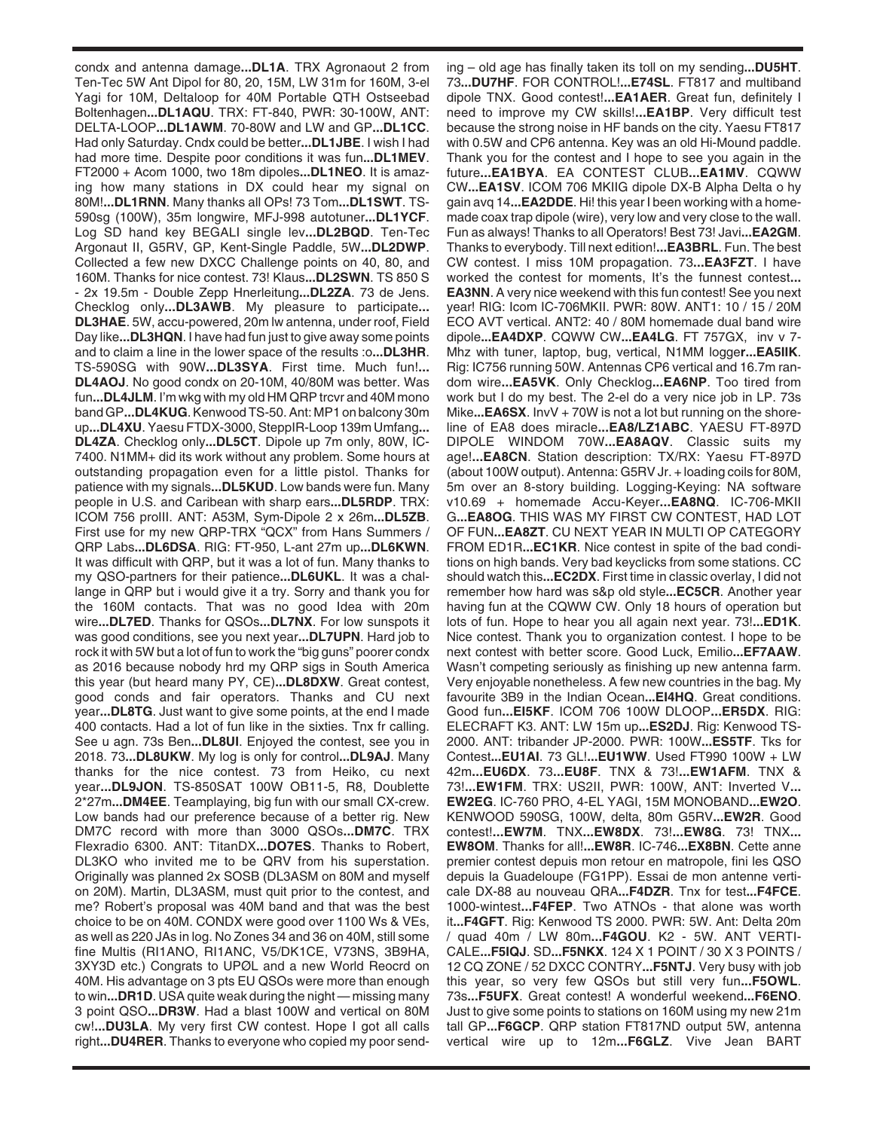condx and antenna damage**...DL1A**. TRX Agronaout 2 from Ten-Tec 5W Ant Dipol for 80, 20, 15M, LW 31m for 160M, 3-el Yagi for 10M, Deltaloop for 40M Portable QTH Ostseebad Boltenhagen**...DL1AQU**. TRX: FT-840, PWR: 30-100W, ANT: DELTA-LOOP**...DL1AWM**. 70-80W and LW and GP**...DL1CC**. Had only Saturday. Cndx could be better**...DL1JBE**. I wish I had had more time. Despite poor conditions it was fun**...DL1MEV**. FT2000 + Acom 1000, two 18m dipoles**...DL1NEO**. It is amazing how many stations in DX could hear my signal on 80M!**...DL1RNN**. Many thanks all OPs! 73 Tom**...DL1SWT**. TS-590sg (100W), 35m longwire, MFJ-998 autotuner**...DL1YCF**. Log SD hand key BEGALI single lev**...DL2BQD**. Ten-Tec Argonaut II, G5RV, GP, Kent-Single Paddle, 5W**...DL2DWP**. Collected a few new DXCC Challenge points on 40, 80, and 160M. Thanks for nice contest. 73! Klaus**...DL2SWN**. TS 850 S - 2x 19.5m - Double Zepp Hnerleitung**...DL2ZA**. 73 de Jens. Checklog only**...DL3AWB**. My pleasure to participate**... DL3HAE**. 5W, accu-powered, 20m lw antenna, under roof, Field Day like**...DL3HQN**. I have had fun just to give away some points and to claim a line in the lower space of the results :o**...DL3HR**. TS-590SG with 90W**...DL3SYA**. First time. Much fun!**... DL4AOJ**. No good condx on 20-10M, 40/80M was better. Was fun**...DL4JLM**. I'm wkg with my old HM QRP trcvr and 40M mono band GP**...DL4KUG**. Kenwood TS-50. Ant: MP1 on balcony 30m up**...DL4XU**. Yaesu FTDX-3000, SteppIR-Loop 139m Umfang**... DL4ZA**. Checklog only**...DL5CT**. Dipole up 7m only, 80W, IC-7400. N1MM+ did its work without any problem. Some hours at outstanding propagation even for a little pistol. Thanks for patience with my signals**...DL5KUD**. Low bands were fun. Many people in U.S. and Caribean with sharp ears**...DL5RDP**. TRX: ICOM 756 proIII. ANT: A53M, Sym-Dipole 2 x 26m**...DL5ZB**. First use for my new QRP-TRX "QCX" from Hans Summers / QRP Labs**...DL6DSA**. RIG: FT-950, L-ant 27m up**...DL6KWN**. It was difficult with QRP, but it was a lot of fun. Many thanks to my QSO-partners for their patience**...DL6UKL**. It was a challange in QRP but i would give it a try. Sorry and thank you for the 160M contacts. That was no good Idea with 20m wire**...DL7ED**. Thanks for QSOs**...DL7NX**. For low sunspots it was good conditions, see you next year**...DL7UPN**. Hard job to rock it with 5W but a lot of fun to work the "big guns" poorer condx as 2016 because nobody hrd my QRP sigs in South America this year (but heard many PY, CE)**...DL8DXW**. Great contest, good conds and fair operators. Thanks and CU next year**...DL8TG**. Just want to give some points, at the end I made 400 contacts. Had a lot of fun like in the sixties. Tnx fr calling. See u agn. 73s Ben**...DL8UI**. Enjoyed the contest, see you in 2018. 73**...DL8UKW**. My log is only for control**...DL9AJ**. Many thanks for the nice contest. 73 from Heiko, cu next year**...DL9JON**. TS-850SAT 100W OB11-5, R8, Doublette 2\*27m**...DM4EE**. Teamplaying, big fun with our small CX-crew. Low bands had our preference because of a better rig. New DM7C record with more than 3000 QSOs**...DM7C**. TRX Flexradio 6300. ANT: TitanDX**...DO7ES**. Thanks to Robert, DL3KO who invited me to be QRV from his superstation. Originally was planned 2x SOSB (DL3ASM on 80M and myself on 20M). Martin, DL3ASM, must quit prior to the contest, and me? Robert's proposal was 40M band and that was the best choice to be on 40M. CONDX were good over 1100 Ws & VEs, as well as 220 JAs in log. No Zones 34 and 36 on 40M, still some fine Multis (RI1ANO, RI1ANC, V5/DK1CE, V73NS, 3B9HA, 3XY3D etc.) Congrats to UPØL and a new World Reocrd on 40M. His advantage on 3 pts EU QSOs were more than enough to win**...DR1D**. USA quite weak during the night — missing many 3 point QSO**...DR3W**. Had a blast 100W and vertical on 80M cw!**...DU3LA**. My very first CW contest. Hope I got all calls right**...DU4RER**. Thanks to everyone who copied my poor sending – old age has finally taken its toll on my sending**...DU5HT**. 73**...DU7HF**. FOR CONTROL!**...E74SL**. FT817 and multiband dipole TNX. Good contest!**...EA1AER**. Great fun, definitely I need to improve my CW skills!**...EA1BP**. Very difficult test because the strong noise in HF bands on the city. Yaesu FT817 with 0.5W and CP6 antenna. Key was an old Hi-Mound paddle. Thank you for the contest and I hope to see you again in the future**...EA1BYA**. EA CONTEST CLUB**...EA1MV**. CQWW CW**...EA1SV**. ICOM 706 MKIIG dipole DX-B Alpha Delta o hy gain avq 14**...EA2DDE**. Hi! this year I been working with a homemade coax trap dipole (wire), very low and very close to the wall. Fun as always! Thanks to all Operators! Best 73! Javi**...EA2GM**. Thanks to everybody. Till next edition!**...EA3BRL**. Fun. The best CW contest. I miss 10M propagation. 73**...EA3FZT**. I have worked the contest for moments, It's the funnest contest**... EA3NN.** A very nice weekend with this fun contest! See you next year! RIG: Icom IC-706MKII. PWR: 80W. ANT1: 10 / 15 / 20M ECO AVT vertical. ANT2: 40 / 80M homemade dual band wire dipole**...EA4DXP**. CQWW CW**...EA4LG**. FT 757GX, inv v 7- Mhz with tuner, laptop, bug, vertical, N1MM logge**r...EA5IIK**. Rig: IC756 running 50W. Antennas CP6 vertical and 16.7m random wire**...EA5VK**. Only Checklog**...EA6NP**. Too tired from work but I do my best. The 2-el do a very nice job in LP. 73s Mike...**EA6SX**. InvV + 70W is not a lot but running on the shoreline of EA8 does miracle**...EA8/LZ1ABC**. YAESU FT-897D DIPOLE WINDOM 70W**...EA8AQV**. Classic suits my age!**...EA8CN**. Station description: TX/RX: Yaesu FT-897D (about 100W output). Antenna: G5RV Jr. + loading coils for 80M, 5m over an 8-story building. Logging-Keying: NA software v10.69 + homemade Accu-Keyer**...EA8NQ**. IC-706-MKII G**...EA8OG**. THIS WAS MY FIRST CW CONTEST, HAD LOT OF FUN**...EA8ZT**. CU NEXT YEAR IN MULTI OP CATEGORY FROM ED1R**...EC1KR**. Nice contest in spite of the bad conditions on high bands. Very bad keyclicks from some stations. CC should watch this**...EC2DX**. First time in classic overlay, I did not remember how hard was s&p old style**...EC5CR**. Another year having fun at the CQWW CW. Only 18 hours of operation but lots of fun. Hope to hear you all again next year. 73!**...ED1K**. Nice contest. Thank you to organization contest. I hope to be next contest with better score. Good Luck, Emilio**...EF7AAW**. Wasn't competing seriously as finishing up new antenna farm. Very enjoyable nonetheless. A few new countries in the bag. My favourite 3B9 in the Indian Ocean**...EI4HQ**. Great conditions. Good fun**...EI5KF**. ICOM 706 100W DLOOP**...ER5DX**. RIG: ELECRAFT K3. ANT: LW 15m up**...ES2DJ**. Rig: Kenwood TS-2000. ANT: tribander JP-2000. PWR: 100W**...ES5TF**. Tks for Contest**...EU1AI**. 73 GL!**...EU1WW**. Used FT990 100W + LW 42m**...EU6DX**. 73**...EU8F**. TNX & 73!**...EW1AFM**. TNX & 73!**...EW1FM**. TRX: US2II, PWR: 100W, ANT: Inverted V**... EW2EG**. IC-760 PRO, 4-EL YAGI, 15M MONOBAND**...EW2O**. KENWOOD 590SG, 100W, delta, 80m G5RV**...EW2R**. Good contest!**...EW7M**. TNX**...EW8DX**. 73!**...EW8G**. 73! TNX**... EW8OM**. Thanks for all!**...EW8R**. IC-746**...EX8BN**. Cette anne premier contest depuis mon retour en matropole, fini les QSO depuis la Guadeloupe (FG1PP). Essai de mon antenne verticale DX-88 au nouveau QRA**...F4DZR**. Tnx for test**...F4FCE**. 1000-wintest**...F4FEP**. Two ATNOs - that alone was worth it**...F4GFT**. Rig: Kenwood TS 2000. PWR: 5W. Ant: Delta 20m / quad 40m / LW 80m**...F4GOU**. K2 - 5W. ANT VERTI-CALE**...F5IQJ**. SD**...F5NKX**. 124 X 1 POINT / 30 X 3 POINTS / 12 CQ ZONE / 52 DXCC CONTRY**...F5NTJ**. Very busy with job this year, so very few QSOs but still very fun**...F5OWL**. 73s**...F5UFX**. Great contest! A wonderful weekend**...F6ENO**. Just to give some points to stations on 160M using my new 21m tall GP**...F6GCP**. QRP station FT817ND output 5W, antenna vertical wire up to 12m**...F6GLZ**. Vive Jean BART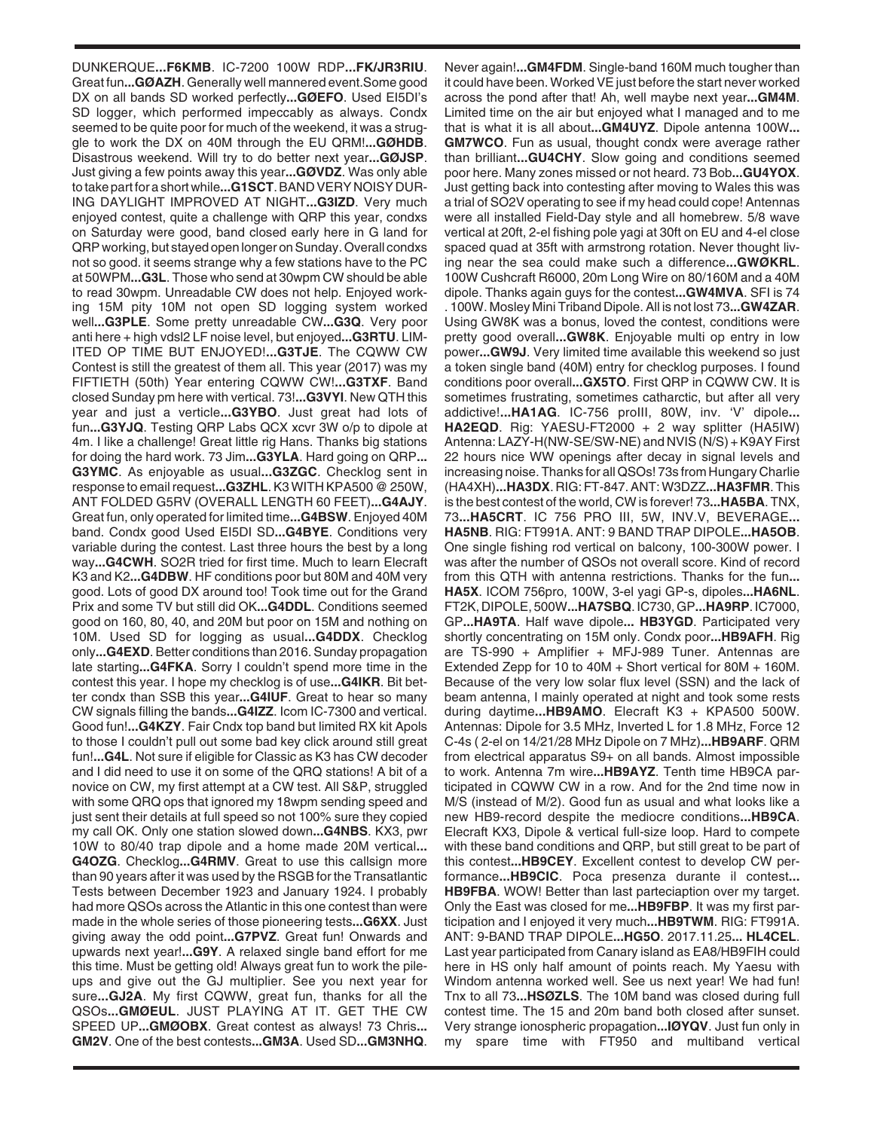DUNKERQUE**...F6KMB**. IC-7200 100W RDP**...FK/JR3RIU**. Great fun**...GØAZH**. Generally well mannered event.Some good DX on all bands SD worked perfectly**...GØEFO**. Used EI5DI's SD logger, which performed impeccably as always. Condx seemed to be quite poor for much of the weekend, it was a struggle to work the DX on 40M through the EU QRM!**...GØHDB**. Disastrous weekend. Will try to do better next year**...GØJSP**. Just giving a few points away this year**...GØVDZ**. Was only able to take part for a short while**...G1SCT**. BAND VERY NOISY DUR-ING DAYLIGHT IMPROVED AT NIGHT**...G3IZD**. Very much enjoyed contest, quite a challenge with QRP this year, condxs on Saturday were good, band closed early here in G land for QRP working, but stayed open longer on Sunday. Overall condxs not so good. it seems strange why a few stations have to the PC at 50WPM**...G3L**. Those who send at 30wpm CW should be able to read 30wpm. Unreadable CW does not help. Enjoyed working 15M pity 10M not open SD logging system worked well**...G3PLE**. Some pretty unreadable CW**...G3Q**. Very poor anti here + high vdsl2 LF noise level, but enjoyed**...G3RTU**. LIM-ITED OP TIME BUT ENJOYED!**...G3TJE**. The CQWW CW Contest is still the greatest of them all. This year (2017) was my FIFTIETH (50th) Year entering CQWW CW!**...G3TXF**. Band closed Sunday pm here with vertical. 73!**...G3VYI**. New QTH this year and just a verticle**...G3YBO**. Just great had lots of fun**...G3YJQ**. Testing QRP Labs QCX xcvr 3W o/p to dipole at 4m. I like a challenge! Great little rig Hans. Thanks big stations for doing the hard work. 73 Jim**...G3YLA**. Hard going on QRP**... G3YMC**. As enjoyable as usual**...G3ZGC**. Checklog sent in response to email request**...G3ZHL**. K3 WITH KPA500 @ 250W, ANT FOLDED G5RV (OVERALL LENGTH 60 FEET)**...G4AJY**. Great fun, only operated for limited time**...G4BSW**. Enjoyed 40M band. Condx good Used EI5DI SD**...G4BYE**. Conditions very variable during the contest. Last three hours the best by a long way**...G4CWH**. SO2R tried for first time. Much to learn Elecraft K3 and K2**...G4DBW**. HF conditions poor but 80M and 40M very good. Lots of good DX around too! Took time out for the Grand Prix and some TV but still did OK**...G4DDL**. Conditions seemed good on 160, 80, 40, and 20M but poor on 15M and nothing on 10M. Used SD for logging as usual**...G4DDX**. Checklog only**...G4EXD**. Better conditions than 2016. Sunday propagation late starting**...G4FKA**. Sorry I couldn't spend more time in the contest this year. I hope my checklog is of use**...G4IKR**. Bit better condx than SSB this year**...G4IUF**. Great to hear so many CW signals filling the bands**...G4IZZ**. Icom IC-7300 and vertical. Good fun!**...G4KZY**. Fair Cndx top band but limited RX kit Apols to those I couldn't pull out some bad key click around still great fun!**...G4L**. Not sure if eligible for Classic as K3 has CW decoder and I did need to use it on some of the QRQ stations! A bit of a novice on CW, my first attempt at a CW test. All S&P, struggled with some QRQ ops that ignored my 18wpm sending speed and just sent their details at full speed so not 100% sure they copied my call OK. Only one station slowed down**...G4NBS**. KX3, pwr 10W to 80/40 trap dipole and a home made 20M vertical**... G4OZG**. Checklog**...G4RMV**. Great to use this callsign more than 90 years after it was used by the RSGB for the Transatlantic Tests between December 1923 and January 1924. I probably had more QSOs across the Atlantic in this one contest than were made in the whole series of those pioneering tests**...G6XX**. Just giving away the odd point**...G7PVZ**. Great fun! Onwards and upwards next year!**...G9Y**. A relaxed single band effort for me this time. Must be getting old! Always great fun to work the pileups and give out the GJ multiplier. See you next year for sure**...GJ2A**. My first CQWW, great fun, thanks for all the QSOs**...GMØEUL**. JUST PLAYING AT IT. GET THE CW SPEED UP**...GMØOBX**. Great contest as always! 73 Chris**... GM2V**. One of the best contests**...GM3A**. Used SD**...GM3NHQ**.

Never again!**...GM4FDM**. Single-band 160M much tougher than it could have been. Worked VE just before the start never worked across the pond after that! Ah, well maybe next year**...GM4M**. Limited time on the air but enjoyed what I managed and to me that is what it is all about**...GM4UYZ**. Dipole antenna 100W**... GM7WCO**. Fun as usual, thought condx were average rather than brilliant**...GU4CHY**. Slow going and conditions seemed poor here. Many zones missed or not heard. 73 Bob**...GU4YOX**. Just getting back into contesting after moving to Wales this was a trial of SO2V operating to see if my head could cope! Antennas were all installed Field-Day style and all homebrew. 5/8 wave vertical at 20ft, 2-el fishing pole yagi at 30ft on EU and 4-el close spaced quad at 35ft with armstrong rotation. Never thought living near the sea could make such a difference**...GWØKRL**. 100W Cushcraft R6000, 20m Long Wire on 80/160M and a 40M dipole. Thanks again guys for the contest**...GW4MVA**. SFI is 74 . 100W. Mosley Mini Triband Dipole. All is not lost 73**...GW4ZAR**. Using GW8K was a bonus, loved the contest, conditions were pretty good overall**...GW8K**. Enjoyable multi op entry in low power**...GW9J**. Very limited time available this weekend so just a token single band (40M) entry for checklog purposes. I found conditions poor overall**...GX5TO**. First QRP in CQWW CW. It is sometimes frustrating, sometimes catharctic, but after all very addictive!**...HA1AG**. IC-756 proIII, 80W, inv. 'V' dipole**... HA2EQD**. Rig: YAESU-FT2000 + 2 way splitter (HA5IW) Antenna: LAZY-H(NW-SE/SW-NE) and NVIS (N/S) + K9AY First 22 hours nice WW openings after decay in signal levels and increasing noise. Thanks for all QSOs! 73s from Hungary Charlie (HA4XH)**...HA3DX**. RIG: FT-847. ANT: W3DZZ**...HA3FMR**. This is the best contest of the world, CW is forever! 73**...HA5BA**. TNX, 73**...HA5CRT**. IC 756 PRO III, 5W, INV.V, BEVERAGE**... HA5NB**. RIG: FT991A. ANT: 9 BAND TRAP DIPOLE**...HA5OB**. One single fishing rod vertical on balcony, 100-300W power. I was after the number of QSOs not overall score. Kind of record from this QTH with antenna restrictions. Thanks for the fun**... HA5X**. ICOM 756pro, 100W, 3-el yagi GP-s, dipoles**...HA6NL**. FT2K, DIPOLE, 500W**...HA7SBQ**. IC730, GP**...HA9RP**. IC7000, GP**...HA9TA**. Half wave dipole**... HB3YGD**. Participated very shortly concentrating on 15M only. Condx poor**...HB9AFH**. Rig are TS-990 + Amplifier + MFJ-989 Tuner. Antennas are Extended Zepp for 10 to 40M + Short vertical for 80M + 160M. Because of the very low solar flux level (SSN) and the lack of beam antenna, I mainly operated at night and took some rests during daytime**...HB9AMO**. Elecraft K3 + KPA500 500W. Antennas: Dipole for 3.5 MHz, Inverted L for 1.8 MHz, Force 12 C-4s ( 2-el on 14/21/28 MHz Dipole on 7 MHz)**...HB9ARF**. QRM from electrical apparatus S9+ on all bands. Almost impossible to work. Antenna 7m wire**...HB9AYZ**. Tenth time HB9CA participated in CQWW CW in a row. And for the 2nd time now in M/S (instead of M/2). Good fun as usual and what looks like a new HB9-record despite the mediocre conditions**...HB9CA**. Elecraft KX3, Dipole & vertical full-size loop. Hard to compete with these band conditions and QRP, but still great to be part of this contest**...HB9CEY**. Excellent contest to develop CW performance**...HB9CIC**. Poca presenza durante il contest**... HB9FBA**. WOW! Better than last parteciaption over my target. Only the East was closed for me**...HB9FBP**. It was my first participation and I enjoyed it very much**...HB9TWM**. RIG: FT991A. ANT: 9-BAND TRAP DIPOLE**...HG5O**. 2017.11.25**... HL4CEL**. Last year participated from Canary island as EA8/HB9FIH could here in HS only half amount of points reach. My Yaesu with Windom antenna worked well. See us next year! We had fun! Tnx to all 73**...HSØZLS**. The 10M band was closed during full contest time. The 15 and 20m band both closed after sunset. Very strange ionospheric propagation**...IØYQV**. Just fun only in my spare time with FT950 and multiband vertical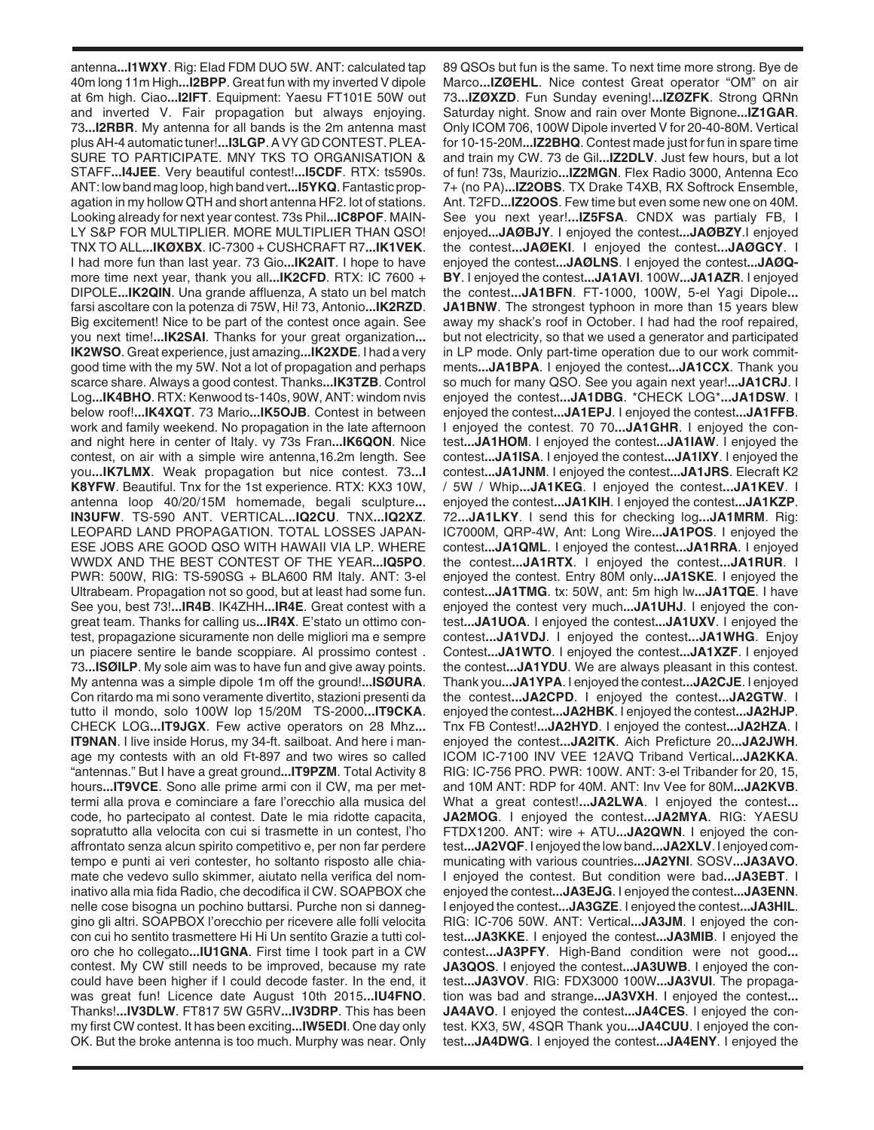antenna**...I1WXY**. Rig: Elad FDM DUO 5W. ANT: calculated tap 40m long 11m High**...I2BPP**. Great fun with my inverted V dipole at 6m high. Ciao**...I2IFT**. Equipment: Yaesu FT101E 50W out and inverted V. Fair propagation but always enjoying. 73**...I2RBR**. My antenna for all bands is the 2m antenna mast plus AH-4 automatic tuner!**...I3LGP**. A VY GD CONTEST. PLEA-SURE TO PARTICIPATE. MNY TKS TO ORGANISATION & STAFF**...I4JEE**. Very beautiful contest!**...I5CDF**. RTX: ts590s. ANT: low band mag loop, high band vert**...I5YKQ**. Fantastic propagation in my hollow QTH and short antenna HF2. lot of stations. Looking already for next year contest. 73s Phil**...IC8POF**. MAIN-LY S&P FOR MULTIPLIER. MORE MULTIPLIER THAN QSO! TNX TO ALL**...IKØXBX**. IC-7300 + CUSHCRAFT R7**...IK1VEK**. I had more fun than last year. 73 Gio**...IK2AIT**. I hope to have more time next year, thank you all**...IK2CFD**. RTX: IC 7600 + DIPOLE**...IK2QIN**. Una grande affluenza, A stato un bel match farsi ascoltare con la potenza di 75W, Hi! 73, Antonio**...IK2RZD**. Big excitement! Nice to be part of the contest once again. See you next time!**...IK2SAI**. Thanks for your great organization**... IK2WSO**. Great experience, just amazing**...IK2XDE**. I had a very good time with the my 5W. Not a lot of propagation and perhaps scarce share. Always a good contest. Thanks**...IK3TZB**. Control Log**...IK4BHO**. RTX: Kenwood ts-140s, 90W, ANT: windom nvis below roof!**...IK4XQT**. 73 Mario**...IK5OJB**. Contest in between work and family weekend. No propagation in the late afternoon and night here in center of Italy. vy 73s Fran**...IK6QON**. Nice contest, on air with a simple wire antenna,16.2m length. See you**...IK7LMX**. Weak propagation but nice contest. 73**...I K8YFW**. Beautiful. Tnx for the 1st experience. RTX: KX3 10W, antenna loop 40/20/15M homemade, begali sculpture**... IN3UFW**. TS-590 ANT. VERTICAL**...IQ2CU**. TNX**...IQ2XZ**. LEOPARD LAND PROPAGATION. TOTAL LOSSES JAPAN-ESE JOBS ARE GOOD QSO WITH HAWAII VIA LP. WHERE WWDX AND THE BEST CONTEST OF THE YEAR**...IQ5PO**. PWR: 500W, RIG: TS-590SG + BLA600 RM Italy. ANT: 3-el Ultrabeam. Propagation not so good, but at least had some fun. See you, best 73!**...IR4B**. IK4ZHH**...IR4E**. Great contest with a great team. Thanks for calling us**...IR4X**. E'stato un ottimo contest, propagazione sicuramente non delle migliori ma e sempre un piacere sentire le bande scoppiare. Al prossimo contest . 73**...ISØILP**. My sole aim was to have fun and give away points. My antenna was a simple dipole 1m off the ground!**...ISØURA**. Con ritardo ma mi sono veramente divertito, stazioni presenti da tutto il mondo, solo 100W lop 15/20M TS-2000**...IT9CKA**. CHECK LOG**...IT9JGX**. Few active operators on 28 Mhz**... IT9NAN.** I live inside Horus, my 34-ft. sailboat. And here i manage my contests with an old Ft-897 and two wires so called "antennas." But I have a great ground**...IT9PZM**. Total Activity 8 hours**...IT9VCE**. Sono alle prime armi con il CW, ma per mettermi alla prova e cominciare a fare l'orecchio alla musica del code, ho partecipato al contest. Date le mia ridotte capacita, sopratutto alla velocita con cui si trasmette in un contest, l'ho affrontato senza alcun spirito competitivo e, per non far perdere tempo e punti ai veri contester, ho soltanto risposto alle chiamate che vedevo sullo skimmer, aiutato nella verifica del nominativo alla mia fida Radio, che decodifica il CW. SOAPBOX che nelle cose bisogna un pochino buttarsi. Purche non si danneggino gli altri. SOAPBOX l'orecchio per ricevere alle folli velocita con cui ho sentito trasmettere Hi Hi Un sentito Grazie a tutti coloro che ho collegato**...IU1GNA**. First time I took part in a CW contest. My CW still needs to be improved, because my rate could have been higher if I could decode faster. In the end, it was great fun! Licence date August 10th 2015**...IU4FNO**. Thanks!**...IV3DLW**. FT817 5W G5RV**...IV3DRP**. This has been my first CW contest. It has been exciting**...IW5EDI**. One day only OK. But the broke antenna is too much. Murphy was near. Only

89 QSOs but fun is the same. To next time more strong. Bye de Marco**...IZØEHL**. Nice contest Great operator "OM" on air 73**...IZØXZD**. Fun Sunday evening!**...IZØZFK**. Strong QRNn Saturday night. Snow and rain over Monte Bignone**...IZ1GAR**. Only ICOM 706, 100W Dipole inverted V for 20-40-80M. Vertical for 10-15-20M**...IZ2BHQ**. Contest made just for fun in spare time and train my CW. 73 de Gil**...IZ2DLV**. Just few hours, but a lot of fun! 73s, Maurizio**...IZ2MGN**. Flex Radio 3000, Antenna Eco 7+ (no PA)**...IZ2OBS**. TX Drake T4XB, RX Softrock Ensemble, Ant. T2FD**...IZ2OOS**. Few time but even some new one on 40M. See you next year!**...IZ5FSA**. CNDX was partialy FB, I enjoyed**...JAØBJY**. I enjoyed the contest**...JAØBZY**.I enjoyed the contest**...JAØEKI**. I enjoyed the contest**...JAØGCY**. I enjoyed the contest**...JAØLNS**. I enjoyed the contest**...JAØQ-BY**. I enjoyed the contest**...JA1AVI**. 100W**...JA1AZR**. I enjoyed the contest**...JA1BFN**. FT-1000, 100W, 5-el Yagi Dipole**... JA1BNW**. The strongest typhoon in more than 15 years blew away my shack's roof in October. I had had the roof repaired, but not electricity, so that we used a generator and participated in LP mode. Only part-time operation due to our work commitments**...JA1BPA**. I enjoyed the contest**...JA1CCX**. Thank you so much for many QSO. See you again next year!**...JA1CRJ**. I enjoyed the contest**...JA1DBG**. \*CHECK LOG\***...JA1DSW**. I enjoyed the contest**...JA1EPJ**. I enjoyed the contest**...JA1FFB**. I enjoyed the contest. 70 70**...JA1GHR**. I enjoyed the contest**...JA1HOM**. I enjoyed the contest**...JA1IAW**. I enjoyed the contest**...JA1ISA**. I enjoyed the contest**...JA1IXY**. I enjoyed the contest**...JA1JNM**. I enjoyed the contest**...JA1JRS**. Elecraft K2 / 5W / Whip**...JA1KEG**. I enjoyed the contest**...JA1KEV**. I enjoyed the contest**...JA1KIH**. I enjoyed the contest**...JA1KZP**. 72**...JA1LKY**. I send this for checking log**...JA1MRM**. Rig: IC7000M, QRP-4W, Ant: Long Wire**...JA1POS**. I enjoyed the contest**...JA1QML**. I enjoyed the contest**...JA1RRA**. I enjoyed the contest**...JA1RTX**. I enjoyed the contest**...JA1RUR**. I enjoyed the contest. Entry 80M only**...JA1SKE**. I enjoyed the contest**...JA1TMG**. tx: 50W, ant: 5m high lw**...JA1TQE**. I have enjoyed the contest very much**...JA1UHJ**. I enjoyed the contest**...JA1UOA**. I enjoyed the contest**...JA1UXV**. I enjoyed the contest**...JA1VDJ**. I enjoyed the contest**...JA1WHG**. Enjoy Contest**...JA1WTO**. I enjoyed the contest**...JA1XZF**. I enjoyed the contest**...JA1YDU**. We are always pleasant in this contest. Thank you**...JA1YPA**. I enjoyed the contest**...JA2CJE**. I enjoyed the contest**...JA2CPD**. I enjoyed the contest**...JA2GTW**. I enjoyed the contest**...JA2HBK**. I enjoyed the contest**...JA2HJP**. Tnx FB Contest!**...JA2HYD**. I enjoyed the contest**...JA2HZA**. I enjoyed the contest**...JA2ITK**. Aich Preficture 20**...JA2JWH**. ICOM IC-7100 INV VEE 12AVQ Triband Vertical**...JA2KKA**. RIG: IC-756 PRO. PWR: 100W. ANT: 3-el Tribander for 20, 15, and 10M ANT: RDP for 40M. ANT: Inv Vee for 80M**...JA2KVB**. What a great contest!**...JA2LWA**. I enjoyed the contest**... JA2MOG**. I enjoyed the contest**...JA2MYA**. RIG: YAESU FTDX1200. ANT: wire + ATU**...JA2QWN**. I enjoyed the contest**...JA2VQF**. I enjoyed the low band**...JA2XLV**. I enjoyed communicating with various countries**...JA2YNI**. SOSV**...JA3AVO**. I enjoyed the contest. But condition were bad**...JA3EBT**. I enjoyed the contest**...JA3EJG**. I enjoyed the contest**...JA3ENN**. I enjoyed the contest**...JA3GZE**. I enjoyed the contest**...JA3HIL**. RIG: IC-706 50W. ANT: Vertical**...JA3JM**. I enjoyed the contest**...JA3KKE**. I enjoyed the contest**...JA3MIB**. I enjoyed the contest**...JA3PFY**. High-Band condition were not good**... JA3QOS**. I enjoyed the contest**...JA3UWB**. I enjoyed the contest**...JA3VOV**. RIG: FDX3000 100W**...JA3VUI**. The propagation was bad and strange**...JA3VXH**. I enjoyed the contest**... JA4AVO**. I enjoyed the contest**...JA4CES**. I enjoyed the contest. KX3, 5W, 4SQR Thank you**...JA4CUU**. I enjoyed the contest**...JA4DWG**. I enjoyed the contest**...JA4ENY**. I enjoyed the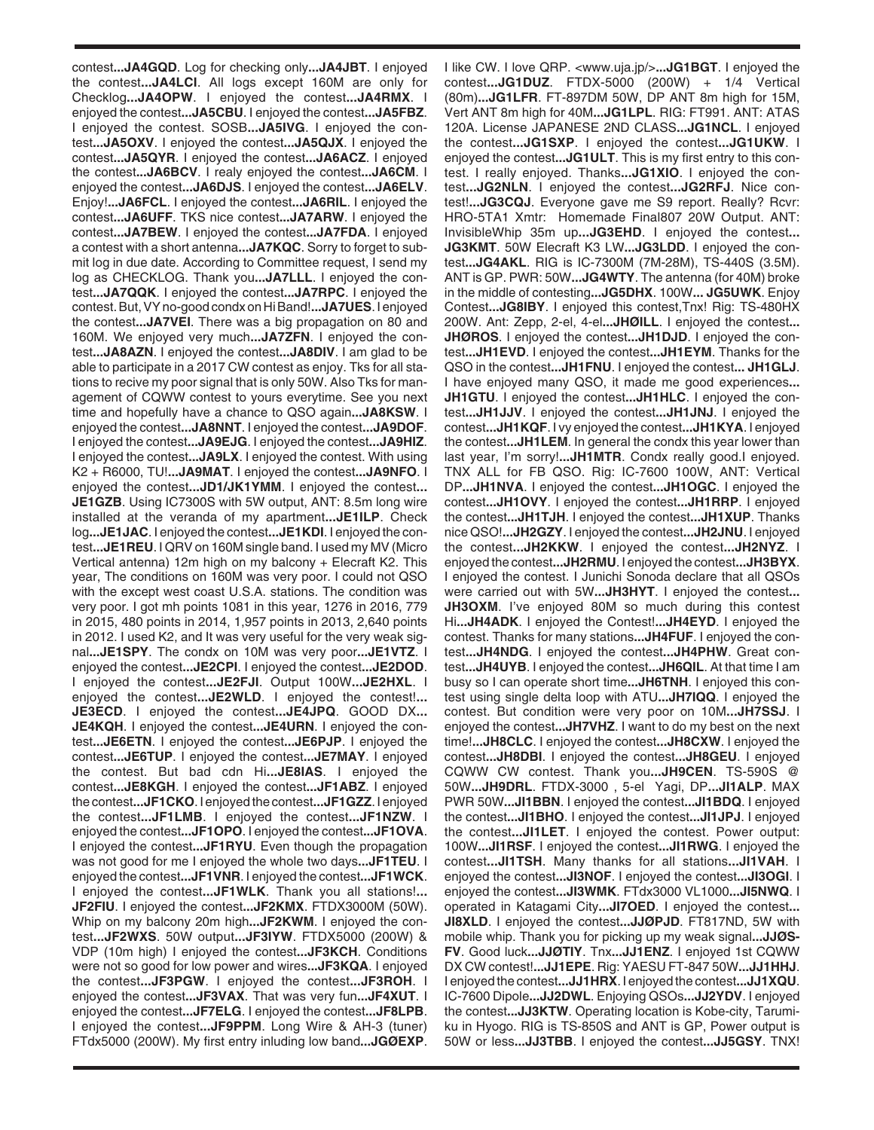contest**...JA4GQD**. Log for checking only**...JA4JBT**. I enjoyed the contest**...JA4LCI**. All logs except 160M are only for Checklog**...JA4OPW**. I enjoyed the contest**...JA4RMX**. I enjoyed the contest**...JA5CBU**. I enjoyed the contest**...JA5FBZ**. I enjoyed the contest. SOSB**...JA5IVG**. I enjoyed the contest**...JA5OXV**. I enjoyed the contest**...JA5QJX**. I enjoyed the contest**...JA5QYR**. I enjoyed the contest**...JA6ACZ**. I enjoyed the contest**...JA6BCV**. I realy enjoyed the contest**...JA6CM**. I enjoyed the contest**...JA6DJS**. I enjoyed the contest**...JA6ELV**. Enjoy!**...JA6FCL**. I enjoyed the contest**...JA6RIL**. I enjoyed the contest**...JA6UFF**. TKS nice contest**...JA7ARW**. I enjoyed the contest**...JA7BEW**. I enjoyed the contest**...JA7FDA**. I enjoyed a contest with a short antenna**...JA7KQC**. Sorry to forget to submit log in due date. According to Committee request, I send my log as CHECKLOG. Thank you**...JA7LLL**. I enjoyed the contest**...JA7QQK**. I enjoyed the contest**...JA7RPC**. I enjoyed the contest. But, VY no-good condx on Hi Band!**...JA7UES**. I enjoyed the contest**...JA7VEI**. There was a big propagation on 80 and 160M. We enjoyed very much**...JA7ZFN**. I enjoyed the contest**...JA8AZN**. I enjoyed the contest**...JA8DIV**. I am glad to be able to participate in a 2017 CW contest as enjoy. Tks for all stations to recive my poor signal that is only 50W. Also Tks for management of CQWW contest to yours everytime. See you next time and hopefully have a chance to QSO again**...JA8KSW**. I enjoyed the contest**...JA8NNT**. I enjoyed the contest**...JA9DOF**. I enjoyed the contest**...JA9EJG**. I enjoyed the contest**...JA9HIZ**. I enjoyed the contest**...JA9LX**. I enjoyed the contest. With using K2 + R6000, TU!**...JA9MAT**. I enjoyed the contest**...JA9NFO**. I enjoyed the contest**...JD1/JK1YMM**. I enjoyed the contest**... JE1GZB**. Using IC7300S with 5W output, ANT: 8.5m long wire installed at the veranda of my apartment**...JE1ILP**. Check log**...JE1JAC**. I enjoyed the contest**...JE1KDI**. I enjoyed the contest**...JE1REU**. I QRV on 160M single band. I used my MV (Micro Vertical antenna) 12m high on my balcony + Elecraft K2. This year, The conditions on 160M was very poor. I could not QSO with the except west coast U.S.A. stations. The condition was very poor. I got mh points 1081 in this year, 1276 in 2016, 779 in 2015, 480 points in 2014, 1,957 points in 2013, 2,640 points in 2012. I used K2, and It was very useful for the very weak signal**...JE1SPY**. The condx on 10M was very poor**...JE1VTZ**. I enjoyed the contest**...JE2CPI**. I enjoyed the contest**...JE2DOD**. I enjoyed the contest**...JE2FJI**. Output 100W**...JE2HXL**. I enjoyed the contest**...JE2WLD**. I enjoyed the contest!**... JE3ECD**. I enjoyed the contest**...JE4JPQ**. GOOD DX**... JE4KQH**. I enjoyed the contest**...JE4URN**. I enjoyed the contest**...JE6ETN**. I enjoyed the contest**...JE6PJP**. I enjoyed the contest**...JE6TUP**. I enjoyed the contest**...JE7MAY**. I enjoyed the contest. But bad cdn Hi**...JE8IAS**. I enjoyed the contest**...JE8KGH**. I enjoyed the contest**...JF1ABZ**. I enjoyed the contest**...JF1CKO**. I enjoyed the contest**...JF1GZZ**. I enjoyed the contest**...JF1LMB**. I enjoyed the contest**...JF1NZW**. I enjoyed the contest**...JF1OPO**. I enjoyed the contest**...JF1OVA**. I enjoyed the contest**...JF1RYU**. Even though the propagation was not good for me I enjoyed the whole two days**...JF1TEU**. I enjoyed the contest**...JF1VNR**. I enjoyed the contest**...JF1WCK**. I enjoyed the contest**...JF1WLK**. Thank you all stations!**... JF2FIU**. I enjoyed the contest**...JF2KMX**. FTDX3000M (50W). Whip on my balcony 20m high**...JF2KWM**. I enjoyed the contest**...JF2WXS**. 50W output**...JF3IYW**. FTDX5000 (200W) & VDP (10m high) I enjoyed the contest**...JF3KCH**. Conditions were not so good for low power and wires**...JF3KQA**. I enjoyed the contest**...JF3PGW**. I enjoyed the contest**...JF3ROH**. I enjoyed the contest**...JF3VAX**. That was very fun**...JF4XUT**. I enjoyed the contest**...JF7ELG**. I enjoyed the contest**...JF8LPB**. I enjoyed the contest**...JF9PPM**. Long Wire & AH-3 (tuner) FTdx5000 (200W). My first entry inluding low band**...JGØEXP**.

I like CW. I love QRP. <www.uja.jp/>**...JG1BGT**. I enjoyed the contest**...JG1DUZ**. FTDX-5000 (200W) + 1/4 Vertical (80m)**...JG1LFR**. FT-897DM 50W, DP ANT 8m high for 15M, Vert ANT 8m high for 40M**...JG1LPL**. RIG: FT991. ANT: ATAS 120A. License JAPANESE 2ND CLASS**...JG1NCL**. I enjoyed the contest**...JG1SXP**. I enjoyed the contest**...JG1UKW**. I enjoyed the contest**...JG1ULT**. This is my first entry to this contest. I really enjoyed. Thanks**...JG1XIO**. I enjoyed the contest**...JG2NLN**. I enjoyed the contest**...JG2RFJ**. Nice contest!**...JG3CQJ**. Everyone gave me S9 report. Really? Rcvr: HRO-5TA1 Xmtr: Homemade Final807 20W Output. ANT: InvisibleWhip 35m up**...JG3EHD**. I enjoyed the contest**... JG3KMT**. 50W Elecraft K3 LW**...JG3LDD**. I enjoyed the contest**...JG4AKL**. RIG is IC-7300M (7M-28M), TS-440S (3.5M). ANT is GP. PWR: 50W**...JG4WTY**. The antenna (for 40M) broke in the middle of contesting**...JG5DHX**. 100W**... JG5UWK**. Enjoy Contest**...JG8IBY**. I enjoyed this contest,Tnx! Rig: TS-480HX 200W. Ant: Zepp, 2-el, 4-el**...JHØILL**. I enjoyed the contest**... JHØROS**. I enjoyed the contest**...JH1DJD**. I enjoyed the contest**...JH1EVD**. I enjoyed the contest**...JH1EYM**. Thanks for the QSO in the contest**...JH1FNU**. I enjoyed the contest**... JH1GLJ**. I have enjoyed many QSO, it made me good experiences**... JH1GTU**. I enjoyed the contest**...JH1HLC**. I enjoyed the contest**...JH1JJV**. I enjoyed the contest**...JH1JNJ**. I enjoyed the contest**...JH1KQF**. I vy enjoyed the contest**...JH1KYA**. I enjoyed the contest**...JH1LEM**. In general the condx this year lower than last year, I'm sorry!**...JH1MTR**. Condx really good.I enjoyed. TNX ALL for FB QSO. Rig: IC-7600 100W, ANT: Vertical DP**...JH1NVA**. I enjoyed the contest**...JH1OGC**. I enjoyed the contest**...JH1OVY**. I enjoyed the contest**...JH1RRP**. I enjoyed the contest**...JH1TJH**. I enjoyed the contest**...JH1XUP**. Thanks nice QSO!**...JH2GZY**. I enjoyed the contest**...JH2JNU**. I enjoyed the contest**...JH2KKW**. I enjoyed the contest**...JH2NYZ**. I enjoyed the contest**...JH2RMU**. I enjoyed the contest**...JH3BYX**. I enjoyed the contest. I Junichi Sonoda declare that all QSOs were carried out with 5W**...JH3HYT**. I enjoyed the contest**... JH3OXM.** I've enjoyed 80M so much during this contest Hi**...JH4ADK**. I enjoyed the Contest!**...JH4EYD**. I enjoyed the contest. Thanks for many stations**...JH4FUF**. I enjoyed the contest**...JH4NDG**. I enjoyed the contest**...JH4PHW**. Great contest**...JH4UYB**. I enjoyed the contest**...JH6QIL**. At that time I am busy so I can operate short time**...JH6TNH**. I enjoyed this contest using single delta loop with ATU**...JH7IQQ**. I enjoyed the contest. But condition were very poor on 10M**...JH7SSJ**. I enjoyed the contest**...JH7VHZ**. I want to do my best on the next time!**...JH8CLC**. I enjoyed the contest**...JH8CXW**. I enjoyed the contest**...JH8DBI**. I enjoyed the contest**...JH8GEU**. I enjoyed CQWW CW contest. Thank you**...JH9CEN**. TS-590S @ 50W**...JH9DRL**. FTDX-3000 , 5-el Yagi, DP**...JI1ALP**. MAX PWR 50W**...JI1BBN**. I enjoyed the contest**...JI1BDQ**. I enjoyed the contest**...JI1BHO**. I enjoyed the contest**...JI1JPJ**. I enjoyed the contest**...JI1LET**. I enjoyed the contest. Power output: 100W**...JI1RSF**. I enjoyed the contest**...JI1RWG**. I enjoyed the contest**...JI1TSH**. Many thanks for all stations**...JI1VAH**. I enjoyed the contest**...JI3NOF**. I enjoyed the contest**...JI3OGI**. I enjoyed the contest**...JI3WMK**. FTdx3000 VL1000**...JI5NWQ**. I operated in Katagami City**...JI7OED**. I enjoyed the contest**... JI8XLD**. I enjoyed the contest**...JJØPJD**. FT817ND, 5W with mobile whip. Thank you for picking up my weak signal**...JJØS-FV**. Good luck**...JJØTIY**. Tnx**...JJ1ENZ**. I enjoyed 1st CQWW DX CW contest!**...JJ1EPE**. Rig: YAESU FT-847 50W**...JJ1HHJ**. I enjoyed the contest**...JJ1HRX**. I enjoyed the contest**...JJ1XQU**. IC-7600 Dipole**...JJ2DWL**. Enjoying QSOs**...JJ2YDV**. I enjoyed the contest**...JJ3KTW**. Operating location is Kobe-city, Tarumiku in Hyogo. RIG is TS-850S and ANT is GP, Power output is 50W or less**...JJ3TBB**. I enjoyed the contest**...JJ5GSY**. TNX!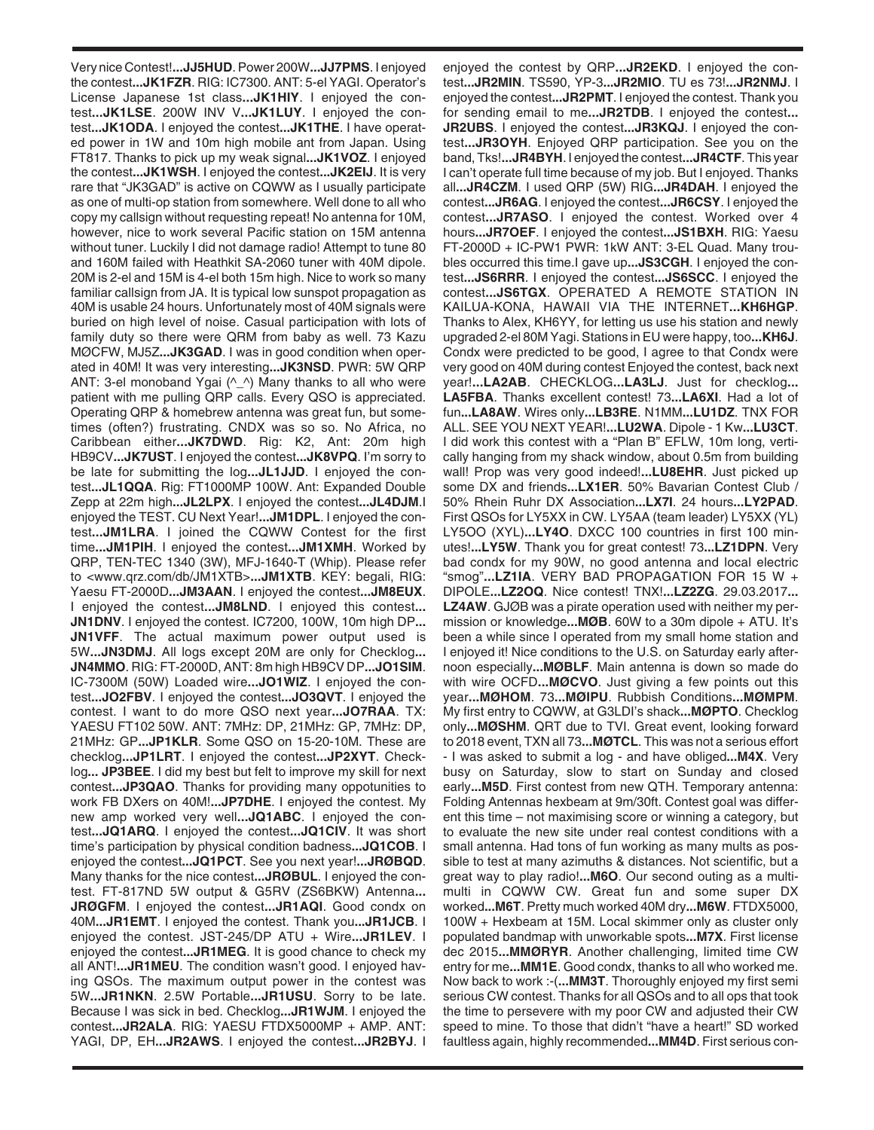Very nice Contest!**...JJ5HUD**. Power 200W**...JJ7PMS**. I enjoyed the contest**...JK1FZR**. RIG: IC7300. ANT: 5-el YAGI. Operator's License Japanese 1st class**...JK1HIY**. I enjoyed the contest**...JK1LSE**. 200W INV V**...JK1LUY**. I enjoyed the contest**...JK1ODA**. I enjoyed the contest**...JK1THE**. I have operated power in 1W and 10m high mobile ant from Japan. Using FT817. Thanks to pick up my weak signal**...JK1VOZ**. I enjoyed the contest**...JK1WSH**. I enjoyed the contest**...JK2EIJ**. It is very rare that "JK3GAD" is active on CQWW as I usually participate as one of multi-op station from somewhere. Well done to all who copy my callsign without requesting repeat! No antenna for 10M, however, nice to work several Pacific station on 15M antenna without tuner. Luckily I did not damage radio! Attempt to tune 80 and 160M failed with Heathkit SA-2060 tuner with 40M dipole. 20M is 2-el and 15M is 4-el both 15m high. Nice to work so many familiar callsign from JA. It is typical low sunspot propagation as 40M is usable 24 hours. Unfortunately most of 40M signals were buried on high level of noise. Casual participation with lots of family duty so there were QRM from baby as well. 73 Kazu MØCFW, MJ5Z**...JK3GAD**. I was in good condition when operated in 40M! It was very interesting**...JK3NSD**. PWR: 5W QRP ANT: 3-el monoband Ygai  $(^{\wedge} \wedge)$  Many thanks to all who were patient with me pulling QRP calls. Every QSO is appreciated. Operating QRP & homebrew antenna was great fun, but sometimes (often?) frustrating. CNDX was so so. No Africa, no Caribbean either**...JK7DWD**. Rig: K2, Ant: 20m high HB9CV**...JK7UST**. I enjoyed the contest**...JK8VPQ**. I'm sorry to be late for submitting the log**...JL1JJD**. I enjoyed the contest**...JL1QQA**. Rig: FT1000MP 100W. Ant: Expanded Double Zepp at 22m high**...JL2LPX**. I enjoyed the contest**...JL4DJM**.I enjoyed the TEST. CU Next Year!**...JM1DPL**. I enjoyed the contest**...JM1LRA**. I joined the CQWW Contest for the first time**...JM1PIH**. I enjoyed the contest**...JM1XMH**. Worked by QRP, TEN-TEC 1340 (3W), MFJ-1640-T (Whip). Please refer to <www.qrz.com/db/JM1XTB>**...JM1XTB**. KEY: begali, RIG: Yaesu FT-2000D**...JM3AAN**. I enjoyed the contest**...JM8EUX**. I enjoyed the contest**...JM8LND**. I enjoyed this contest**... JN1DNV**. I enjoyed the contest. IC7200, 100W, 10m high DP**... JN1VFF**. The actual maximum power output used is 5W**...JN3DMJ**. All logs except 20M are only for Checklog**... JN4MMO**. RIG: FT-2000D, ANT: 8m high HB9CV DP**...JO1SIM**. IC-7300M (50W) Loaded wire**...JO1WIZ**. I enjoyed the contest**...JO2FBV**. I enjoyed the contest**...JO3QVT**. I enjoyed the contest. I want to do more QSO next year**...JO7RAA**. TX: YAESU FT102 50W. ANT: 7MHz: DP, 21MHz: GP, 7MHz: DP, 21MHz: GP**...JP1KLR**. Some QSO on 15-20-10M. These are checklog**...JP1LRT**. I enjoyed the contest**...JP2XYT**. Checklog**... JP3BEE**. I did my best but felt to improve my skill for next contest**...JP3QAO**. Thanks for providing many oppotunities to work FB DXers on 40M!**...JP7DHE**. I enjoyed the contest. My new amp worked very well**...JQ1ABC**. I enjoyed the contest**...JQ1ARQ**. I enjoyed the contest**...JQ1CIV**. It was short time's participation by physical condition badness**...JQ1COB**. I enjoyed the contest**...JQ1PCT**. See you next year!**...JRØBQD**. Many thanks for the nice contest**...JRØBUL**. I enjoyed the contest. FT-817ND 5W output & G5RV (ZS6BKW) Antenna**... JRØGFM**. I enjoyed the contest**...JR1AQI**. Good condx on 40M**...JR1EMT**. I enjoyed the contest. Thank you**...JR1JCB**. I enjoyed the contest. JST-245/DP ATU + Wire**...JR1LEV**. I enjoyed the contest**...JR1MEG**. It is good chance to check my all ANT!**...JR1MEU**. The condition wasn't good. I enjoyed having QSOs. The maximum output power in the contest was 5W**...JR1NKN**. 2.5W Portable**...JR1USU**. Sorry to be late. Because I was sick in bed. Checklog**...JR1WJM**. I enjoyed the contest**...JR2ALA**. RIG: YAESU FTDX5000MP + AMP. ANT: YAGI, DP, EH**...JR2AWS**. I enjoyed the contest**...JR2BYJ**. I

enjoyed the contest by QRP**...JR2EKD**. I enjoyed the contest**...JR2MIN**. TS590, YP-3**...JR2MIO**. TU es 73!**...JR2NMJ**. I enjoyed the contest**...JR2PMT**. I enjoyed the contest. Thank you for sending email to me**...JR2TDB**. I enjoyed the contest**... JR2UBS**. I enjoyed the contest**...JR3KQJ**. I enjoyed the contest**...JR3OYH**. Enjoyed QRP participation. See you on the band, Tks!**...JR4BYH**. I enjoyed the contest**...JR4CTF**. This year I can't operate full time because of my job. But I enjoyed. Thanks all**...JR4CZM**. I used QRP (5W) RIG**...JR4DAH**. I enjoyed the contest**...JR6AG**. I enjoyed the contest**...JR6CSY**. I enjoyed the contest**...JR7ASO**. I enjoyed the contest. Worked over 4 hours**...JR7OEF**. I enjoyed the contest**...JS1BXH**. RIG: Yaesu FT-2000D + IC-PW1 PWR: 1kW ANT: 3-EL Quad. Many troubles occurred this time.I gave up**...JS3CGH**. I enjoyed the contest**...JS6RRR**. I enjoyed the contest**...JS6SCC**. I enjoyed the contest**...JS6TGX**. OPERATED A REMOTE STATION IN KAILUA-KONA, HAWAII VIA THE INTERNET**...KH6HGP**. Thanks to Alex, KH6YY, for letting us use his station and newly upgraded 2-el 80M Yagi. Stations in EU were happy, too**...KH6J**. Condx were predicted to be good, I agree to that Condx were very good on 40M during contest Enjoyed the contest, back next year!**...LA2AB**. CHECKLOG**...LA3LJ**. Just for checklog**... LA5FBA**. Thanks excellent contest! 73**...LA6XI**. Had a lot of fun**...LA8AW**. Wires only**...LB3RE**. N1MM**...LU1DZ**. TNX FOR ALL. SEE YOU NEXT YEAR!**...LU2WA**. Dipole - 1 Kw**...LU3CT**. I did work this contest with a "Plan B" EFLW, 10m long, vertically hanging from my shack window, about 0.5m from building wall! Prop was very good indeed!**...LU8EHR**. Just picked up some DX and friends**...LX1ER**. 50% Bavarian Contest Club / 50% Rhein Ruhr DX Association**...LX7I**. 24 hours**...LY2PAD**. First QSOs for LY5XX in CW. LY5AA (team leader) LY5XX (YL) LY5OO (XYL)**...LY4O**. DXCC 100 countries in first 100 minutes!**...LY5W**. Thank you for great contest! 73**...LZ1DPN**. Very bad condx for my 90W, no good antenna and local electric "smog"**...LZ1IA**. VERY BAD PROPAGATION FOR 15 W + DIPOLE**...LZ2OQ**. Nice contest! TNX!**...LZ2ZG**. 29.03.2017**... LZ4AW**. GJØB was a pirate operation used with neither my permission or knowledge**...MØB**. 60W to a 30m dipole + ATU. It's been a while since I operated from my small home station and I enjoyed it! Nice conditions to the U.S. on Saturday early afternoon especially**...MØBLF**. Main antenna is down so made do with wire OCFD**...MØCVO**. Just giving a few points out this year**...MØHOM**. 73**...MØIPU**. Rubbish Conditions**...MØMPM**. My first entry to CQWW, at G3LDI's shack**...MØPTO**. Checklog only**...MØSHM**. QRT due to TVI. Great event, looking forward to 2018 event, TXN all 73**...MØTCL**. This was not a serious effort - I was asked to submit a log - and have obliged**...M4X**. Very busy on Saturday, slow to start on Sunday and closed early**...M5D**. First contest from new QTH. Temporary antenna: Folding Antennas hexbeam at 9m/30ft. Contest goal was different this time – not maximising score or winning a category, but to evaluate the new site under real contest conditions with a small antenna. Had tons of fun working as many mults as possible to test at many azimuths & distances. Not scientific, but a great way to play radio!**...M6O**. Our second outing as a multimulti in CQWW CW. Great fun and some super DX worked**...M6T**. Pretty much worked 40M dry**...M6W**. FTDX5000, 100W + Hexbeam at 15M. Local skimmer only as cluster only populated bandmap with unworkable spots**...M7X**. First license dec 2015**...MMØRYR**. Another challenging, limited time CW entry for me**...MM1E**. Good condx, thanks to all who worked me. Now back to work :-(**...MM3T**. Thoroughly enjoyed my first semi serious CW contest. Thanks for all QSOs and to all ops that took the time to persevere with my poor CW and adjusted their CW speed to mine. To those that didn't "have a heart!" SD worked faultless again, highly recommended**...MM4D**. First serious con-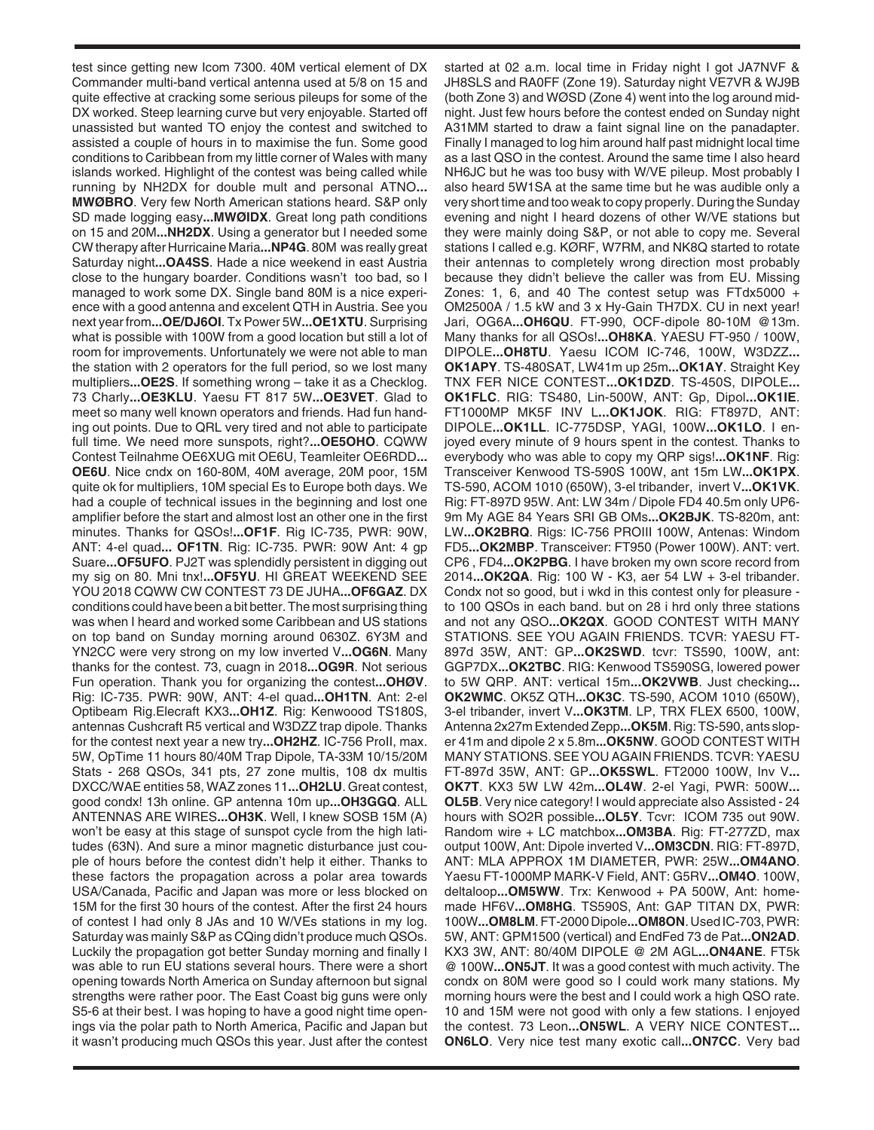test since getting new Icom 7300. 40M vertical element of DX Commander multi-band vertical antenna used at 5/8 on 15 and quite effective at cracking some serious pileups for some of the DX worked. Steep learning curve but very enjoyable. Started off unassisted but wanted TO enjoy the contest and switched to assisted a couple of hours in to maximise the fun. Some good conditions to Caribbean from my little corner of Wales with many islands worked. Highlight of the contest was being called while running by NH2DX for double mult and personal ATNO**... MWØBRO**. Very few North American stations heard. S&P only SD made logging easy**...MWØIDX**. Great long path conditions on 15 and 20M**...NH2DX**. Using a generator but I needed some CW therapy after Hurricaine Maria**...NP4G**. 80M was really great Saturday night**...OA4SS**. Hade a nice weekend in east Austria close to the hungary boarder. Conditions wasn't too bad, so I managed to work some DX. Single band 80M is a nice experience with a good antenna and excelent QTH in Austria. See you next year from**...OE/DJ6OI**. Tx Power 5W**...OE1XTU**. Surprising what is possible with 100W from a good location but still a lot of room for improvements. Unfortunately we were not able to man the station with 2 operators for the full period, so we lost many multipliers**...OE2S**. If something wrong – take it as a Checklog. 73 Charly**...OE3KLU**. Yaesu FT 817 5W**...OE3VET**. Glad to meet so many well known operators and friends. Had fun handing out points. Due to QRL very tired and not able to participate full time. We need more sunspots, right?**...OE5OHO**. CQWW Contest Teilnahme OE6XUG mit OE6U, Teamleiter OE6RDD**... OE6U**. Nice cndx on 160-80M, 40M average, 20M poor, 15M quite ok for multipliers, 10M special Es to Europe both days. We had a couple of technical issues in the beginning and lost one amplifier before the start and almost lost an other one in the first minutes. Thanks for QSOs!**...OF1F**. Rig IC-735, PWR: 90W, ANT: 4-el quad**... OF1TN**. Rig: IC-735. PWR: 90W Ant: 4 gp Suare**...OF5UFO**. PJ2T was splendidly persistent in digging out my sig on 80. Mni tnx!**...OF5YU**. HI GREAT WEEKEND SEE YOU 2018 CQWW CW CONTEST 73 DE JUHA**...OF6GAZ**. DX conditions could have been a bit better. The most surprising thing was when I heard and worked some Caribbean and US stations on top band on Sunday morning around 0630Z. 6Y3M and YN2CC were very strong on my low inverted V**...OG6N**. Many thanks for the contest. 73, cuagn in 2018**...OG9R**. Not serious Fun operation. Thank you for organizing the contest**...OHØV**. Rig: IC-735. PWR: 90W, ANT: 4-el quad**...OH1TN**. Ant: 2-el Optibeam Rig.Elecraft KX3**...OH1Z**. Rig: Kenwoood TS180S, antennas Cushcraft R5 vertical and W3DZZ trap dipole. Thanks for the contest next year a new try**...OH2HZ**. IC-756 ProII, max. 5W, OpTime 11 hours 80/40M Trap Dipole, TA-33M 10/15/20M Stats - 268 QSOs, 341 pts, 27 zone multis, 108 dx multis DXCC/WAE entities 58, WAZ zones 11**...OH2LU**. Great contest, good condx! 13h online. GP antenna 10m up**...OH3GGQ**. ALL ANTENNAS ARE WIRES**...OH3K**. Well, I knew SOSB 15M (A) won't be easy at this stage of sunspot cycle from the high latitudes (63N). And sure a minor magnetic disturbance just couple of hours before the contest didn't help it either. Thanks to these factors the propagation across a polar area towards USA/Canada, Pacific and Japan was more or less blocked on 15M for the first 30 hours of the contest. After the first 24 hours of contest I had only 8 JAs and 10 W/VEs stations in my log. Saturday was mainly S&P as CQing didn't produce much QSOs. Luckily the propagation got better Sunday morning and finally I was able to run EU stations several hours. There were a short opening towards North America on Sunday afternoon but signal strengths were rather poor. The East Coast big guns were only S5-6 at their best. I was hoping to have a good night time openings via the polar path to North America, Pacific and Japan but it wasn't producing much QSOs this year. Just after the contest

started at 02 a.m. local time in Friday night I got JA7NVF & JH8SLS and RA0FF (Zone 19). Saturday night VE7VR & WJ9B (both Zone 3) and WØSD (Zone 4) went into the log around midnight. Just few hours before the contest ended on Sunday night A31MM started to draw a faint signal line on the panadapter. Finally I managed to log him around half past midnight local time as a last QSO in the contest. Around the same time I also heard NH6JC but he was too busy with W/VE pileup. Most probably I also heard 5W1SA at the same time but he was audible only a very short time and too weak to copy properly. During the Sunday evening and night I heard dozens of other W/VE stations but they were mainly doing S&P, or not able to copy me. Several stations I called e.g. KØRF, W7RM, and NK8Q started to rotate their antennas to completely wrong direction most probably because they didn't believe the caller was from EU. Missing Zones: 1, 6, and 40 The contest setup was FTdx5000  $+$ OM2500A / 1.5 kW and 3 x Hy-Gain TH7DX. CU in next year! Jari, OG6A**...OH6QU**. FT-990, OCF-dipole 80-10M @13m. Many thanks for all QSOs!**...OH8KA**. YAESU FT-950 / 100W, DIPOLE**...OH8TU**. Yaesu ICOM IC-746, 100W, W3DZZ**... OK1APY**. TS-480SAT, LW41m up 25m**...OK1AY**. Straight Key TNX FER NICE CONTEST**...OK1DZD**. TS-450S, DIPOLE**... OK1FLC**. RIG: TS480, Lin-500W, ANT: Gp, Dipol**...OK1IE**. FT1000MP MK5F INV L**...OK1JOK**. RIG: FT897D, ANT: DIPOLE**...OK1LL**. IC-775DSP, YAGI, 100W**...OK1LO**. I enjoyed every minute of 9 hours spent in the contest. Thanks to everybody who was able to copy my QRP sigs!**...OK1NF**. Rig: Transceiver Kenwood TS-590S 100W, ant 15m LW**...OK1PX**. TS-590, ACOM 1010 (650W), 3-el tribander, invert V**...OK1VK**. Rig: FT-897D 95W. Ant: LW 34m / Dipole FD4 40.5m only UP6- 9m My AGE 84 Years SRI GB OMs**...OK2BJK**. TS-820m, ant: LW**...OK2BRQ**. Rigs: IC-756 PROIII 100W, Antenas: Windom FD5**...OK2MBP**. Transceiver: FT950 (Power 100W). ANT: vert. CP6 , FD4**...OK2PBG**. I have broken my own score record from 2014**...OK2QA**. Rig: 100 W - K3, aer 54 LW + 3-el tribander. Condx not so good, but i wkd in this contest only for pleasure to 100 QSOs in each band. but on 28 i hrd only three stations and not any QSO**...OK2QX**. GOOD CONTEST WITH MANY STATIONS. SEE YOU AGAIN FRIENDS. TCVR: YAESU FT-897d 35W, ANT: GP**...OK2SWD**. tcvr: TS590, 100W, ant: GGP7DX**...OK2TBC**. RIG: Kenwood TS590SG, lowered power to 5W QRP. ANT: vertical 15m**...OK2VWB**. Just checking**... OK2WMC**. OK5Z QTH**...OK3C**. TS-590, ACOM 1010 (650W), 3-el tribander, invert V**...OK3TM**. LP, TRX FLEX 6500, 100W, Antenna 2x27m Extended Zepp**...OK5M**. Rig: TS-590, ants sloper 41m and dipole 2 x 5.8m**...OK5NW**. GOOD CONTEST WITH MANY STATIONS. SEE YOU AGAIN FRIENDS. TCVR: YAESU FT-897d 35W, ANT: GP**...OK5SWL**. FT2000 100W, Inv V**... OK7T**. KX3 5W LW 42m**...OL4W**. 2-el Yagi, PWR: 500W**... OL5B**. Very nice category! I would appreciate also Assisted - 24 hours with SO2R possible**...OL5Y**. Tcvr: ICOM 735 out 90W. Random wire + LC matchbox**...OM3BA**. Rig: FT-277ZD, max output 100W, Ant: Dipole inverted V**...OM3CDN**. RIG: FT-897D, ANT: MLA APPROX 1M DIAMETER, PWR: 25W**...OM4ANO**. Yaesu FT-1000MP MARK-V Field, ANT: G5RV**...OM4O**. 100W, deltaloop**...OM5WW**. Trx: Kenwood + PA 500W, Ant: homemade HF6V**...OM8HG**. TS590S, Ant: GAP TITAN DX, PWR: 100W**...OM8LM**. FT-2000 Dipole**...OM8ON**. Used IC-703, PWR: 5W, ANT: GPM1500 (vertical) and EndFed 73 de Pat**...ON2AD**. KX3 3W, ANT: 80/40M DIPOLE @ 2M AGL**...ON4ANE**. FT5k @ 100W**...ON5JT**. It was a good contest with much activity. The condx on 80M were good so I could work many stations. My morning hours were the best and I could work a high QSO rate. 10 and 15M were not good with only a few stations. I enjoyed the contest. 73 Leon**...ON5WL**. A VERY NICE CONTEST**... ON6LO**. Very nice test many exotic call**...ON7CC**. Very bad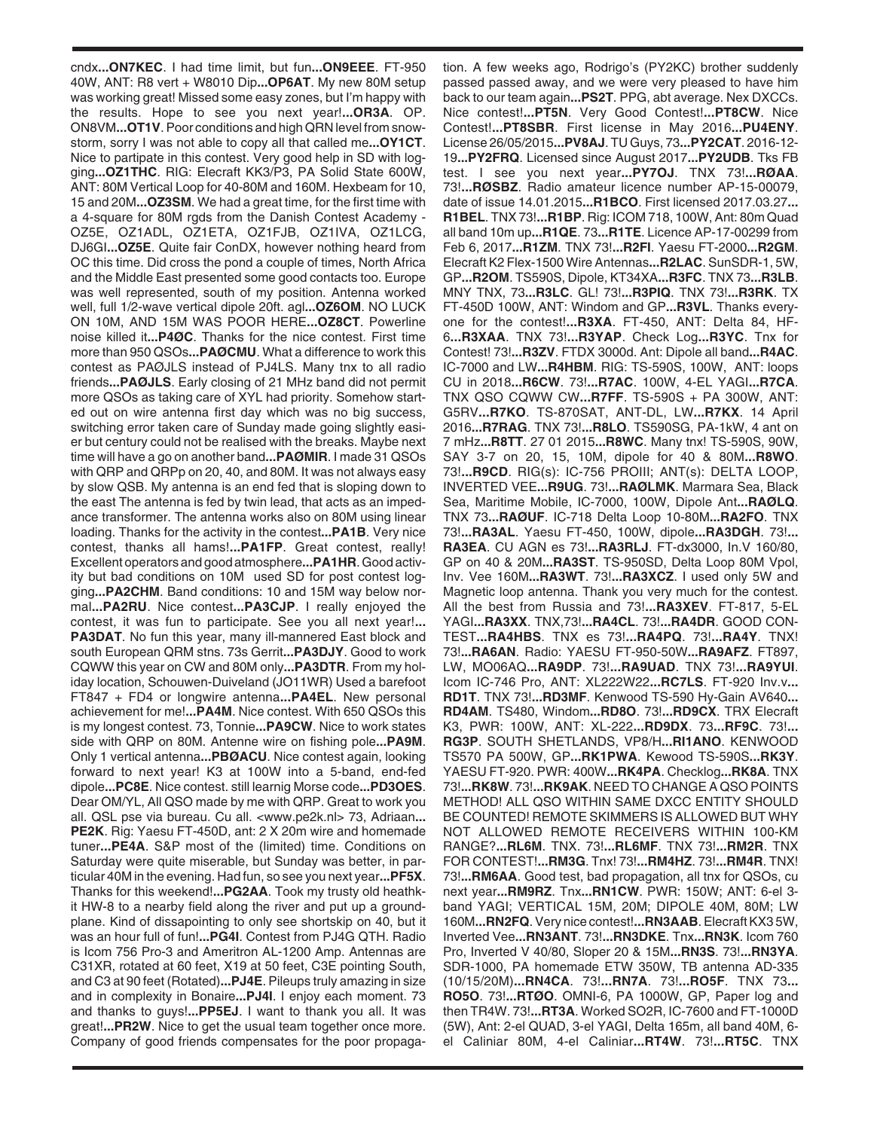cndx**...ON7KEC**. I had time limit, but fun**...ON9EEE**. FT-950 40W, ANT: R8 vert + W8010 Dip**...OP6AT**. My new 80M setup was working great! Missed some easy zones, but I'm happy with the results. Hope to see you next year!**...OR3A**. OP. ON8VM**...OT1V**. Poor conditions and high QRN level from snowstorm, sorry I was not able to copy all that called me**...OY1CT**. Nice to partipate in this contest. Very good help in SD with logging**...OZ1THC**. RIG: Elecraft KK3/P3, PA Solid State 600W, ANT: 80M Vertical Loop for 40-80M and 160M. Hexbeam for 10, 15 and 20M**...OZ3SM**. We had a great time, for the first time with a 4-square for 80M rgds from the Danish Contest Academy - OZ5E, OZ1ADL, OZ1ETA, OZ1FJB, OZ1IVA, OZ1LCG, DJ6GI**...OZ5E**. Quite fair ConDX, however nothing heard from OC this time. Did cross the pond a couple of times, North Africa and the Middle East presented some good contacts too. Europe was well represented, south of my position. Antenna worked well, full 1/2-wave vertical dipole 20ft. agl**...OZ6OM**. NO LUCK ON 10M, AND 15M WAS POOR HERE**...OZ8CT**. Powerline noise killed it**...P4ØC**. Thanks for the nice contest. First time more than 950 QSOs**...PAØCMU**. What a difference to work this contest as PAØJLS instead of PJ4LS. Many tnx to all radio friends**...PAØJLS**. Early closing of 21 MHz band did not permit more QSOs as taking care of XYL had priority. Somehow started out on wire antenna first day which was no big success, switching error taken care of Sunday made going slightly easier but century could not be realised with the breaks. Maybe next time will have a go on another band**...PAØMIR**. I made 31 QSOs with QRP and QRPp on 20, 40, and 80M. It was not always easy by slow QSB. My antenna is an end fed that is sloping down to the east The antenna is fed by twin lead, that acts as an impedance transformer. The antenna works also on 80M using linear loading. Thanks for the activity in the contest**...PA1B**. Very nice contest, thanks all hams!**...PA1FP**. Great contest, really! Excellent operators and good atmosphere**...PA1HR**. Good activity but bad conditions on 10M used SD for post contest logging**...PA2CHM**. Band conditions: 10 and 15M way below normal**...PA2RU**. Nice contest**...PA3CJP**. I really enjoyed the contest, it was fun to participate. See you all next year!**... PA3DAT**. No fun this year, many ill-mannered East block and south European QRM stns. 73s Gerrit**...PA3DJY**. Good to work CQWW this year on CW and 80M only**...PA3DTR**. From my holiday location, Schouwen-Duiveland (JO11WR) Used a barefoot FT847 + FD4 or longwire antenna**...PA4EL**. New personal achievement for me!**...PA4M**. Nice contest. With 650 QSOs this is my longest contest. 73, Tonnie**...PA9CW**. Nice to work states side with QRP on 80M. Antenne wire on fishing pole**...PA9M**. Only 1 vertical antenna**...PBØACU**. Nice contest again, looking forward to next year! K3 at 100W into a 5-band, end-fed dipole**...PC8E**. Nice contest. still learnig Morse code**...PD3OES**. Dear OM/YL, All QSO made by me with QRP. Great to work you all. QSL pse via bureau. Cu all. <www.pe2k.nl> 73, Adriaan**... PE2K**. Rig: Yaesu FT-450D, ant: 2 X 20m wire and homemade tuner**...PE4A**. S&P most of the (limited) time. Conditions on Saturday were quite miserable, but Sunday was better, in particular 40M in the evening. Had fun, so see you next year**...PF5X**. Thanks for this weekend!**...PG2AA**. Took my trusty old heathkit HW-8 to a nearby field along the river and put up a groundplane. Kind of dissapointing to only see shortskip on 40, but it was an hour full of fun!**...PG4I**. Contest from PJ4G QTH. Radio is Icom 756 Pro-3 and Ameritron AL-1200 Amp. Antennas are C31XR, rotated at 60 feet, X19 at 50 feet, C3E pointing South, and C3 at 90 feet (Rotated)**...PJ4E**. Pileups truly amazing in size and in complexity in Bonaire**...PJ4I**. I enjoy each moment. 73 and thanks to guys!**...PP5EJ**. I want to thank you all. It was great!**...PR2W**. Nice to get the usual team together once more. Company of good friends compensates for the poor propagation. A few weeks ago, Rodrigo's (PY2KC) brother suddenly passed passed away, and we were very pleased to have him back to our team again**...PS2T**. PPG, abt average. Nex DXCCs. Nice contest!**...PT5N**. Very Good Contest!**...PT8CW**. Nice Contest!**...PT8SBR**. First license in May 2016**...PU4ENY**. License 26/05/2015**...PV8AJ**. TU Guys, 73**...PY2CAT**. 2016-12- 19**...PY2FRQ**. Licensed since August 2017**...PY2UDB**. Tks FB test. I see you next year**...PY7OJ**. TNX 73!**...RØAA**. 73!**...RØSBZ**. Radio amateur licence number AP-15-00079, date of issue 14.01.2015**...R1BCO**. First licensed 2017.03.27**... R1BEL**. TNX 73!**...R1BP**. Rig: ICOM 718, 100W, Ant: 80m Quad all band 10m up**...R1QE**. 73**...R1TE**. Licence AP-17-00299 from Feb 6, 2017**...R1ZM**. TNX 73!**...R2FI**. Yaesu FT-2000**...R2GM**. Elecraft K2 Flex-1500 Wire Antennas**...R2LAC**. SunSDR-1, 5W, GP**...R2OM**. TS590S, Dipole, KT34XA**...R3FC**. TNX 73**...R3LB**. MNY TNX, 73**...R3LC**. GL! 73!**...R3PIQ**. TNX 73!**...R3RK**. TX FT-450D 100W, ANT: Windom and GP**...R3VL**. Thanks everyone for the contest!**...R3XA**. FT-450, ANT: Delta 84, HF-6**...R3XAA**. TNX 73!**...R3YAP**. Check Log**...R3YC**. Tnx for Contest! 73!**...R3ZV**. FTDX 3000d. Ant: Dipole all band**...R4AC**. IC-7000 and LW**...R4HBM**. RIG: TS-590S, 100W, ANT: loops CU in 2018**...R6CW**. 73!**...R7AC**. 100W, 4-EL YAGI**...R7CA**. TNX QSO CQWW CW**...R7FF**. TS-590S + PA 300W, ANT: G5RV**...R7KO**. TS-870SAT, ANT-DL, LW**...R7KX**. 14 April 2016**...R7RAG**. TNX 73!**...R8LO**. TS590SG, PA-1kW, 4 ant on 7 mHz**...R8TT**. 27 01 2015**...R8WC**. Many tnx! TS-590S, 90W, SAY 3-7 on 20, 15, 10M, dipole for 40 & 80M**...R8WO**. 73!**...R9CD**. RIG(s): IC-756 PROIII; ANT(s): DELTA LOOP, INVERTED VEE**...R9UG**. 73!**...RAØLMK**. Marmara Sea, Black Sea, Maritime Mobile, IC-7000, 100W, Dipole Ant**...RAØLQ**. TNX 73**...RAØUF**. IC-718 Delta Loop 10-80M**...RA2FO**. TNX 73!**...RA3AL**. Yaesu FT-450, 100W, dipole**...RA3DGH**. 73!**... RA3EA**. CU AGN es 73!**...RA3RLJ**. FT-dx3000, In.V 160/80, GP on 40 & 20M**...RA3ST**. TS-950SD, Delta Loop 80M Vpol, Inv. Vee 160M**...RA3WT**. 73!**...RA3XCZ**. I used only 5W and Magnetic loop antenna. Thank you very much for the contest. All the best from Russia and 73!**...RA3XEV**. FT-817, 5-EL YAGI**...RA3XX**. TNX,73!**...RA4CL**. 73!**...RA4DR**. GOOD CON-TEST**...RA4HBS**. TNX es 73!**...RA4PQ**. 73!**...RA4Y**. TNX! 73!**...RA6AN**. Radio: YAESU FT-950-50W**...RA9AFZ**. FT897, LW, MO06AQ**...RA9DP**. 73!**...RA9UAD**. TNX 73!**...RA9YUI**. Icom IC-746 Pro, ANT: XL222W22**...RC7LS**. FT-920 Inv.v**... RD1T**. TNX 73!**...RD3MF**. Kenwood TS-590 Hy-Gain AV640**... RD4AM**. TS480, Windom**...RD8O**. 73!**...RD9CX**. TRX Elecraft K3, PWR: 100W, ANT: XL-222**...RD9DX**. 73**...RF9C**. 73!**... RG3P**. SOUTH SHETLANDS, VP8/H**...RI1ANO**. KENWOOD TS570 PA 500W, GP**...RK1PWA**. Kewood TS-590S**...RK3Y**. YAESU FT-920. PWR: 400W**...RK4PA**. Checklog**...RK8A**. TNX 73!**...RK8W**. 73!**...RK9AK**. NEED TO CHANGE A QSO POINTS METHOD! ALL QSO WITHIN SAME DXCC ENTITY SHOULD BE COUNTED! REMOTE SKIMMERS IS ALLOWED BUT WHY NOT ALLOWED REMOTE RECEIVERS WITHIN 100-KM RANGE?**...RL6M**. TNX. 73!**...RL6MF**. TNX 73!**...RM2R**. TNX FOR CONTEST!**...RM3G**. Tnx! 73!**...RM4HZ**. 73!**...RM4R**. TNX! 73!**...RM6AA**. Good test, bad propagation, all tnx for QSOs, cu next year**...RM9RZ**. Tnx**...RN1CW**. PWR: 150W; ANT: 6-el 3 band YAGI; VERTICAL 15M, 20M; DIPOLE 40M, 80M; LW 160M**...RN2FQ**. Very nice contest!**...RN3AAB**. Elecraft KX3 5W, Inverted Vee**...RN3ANT**. 73!**...RN3DKE**. Tnx**...RN3K**. Icom 760 Pro, Inverted V 40/80, Sloper 20 & 15M**...RN3S**. 73!**...RN3YA**. SDR-1000, PA homemade ETW 350W, TB antenna AD-335 (10/15/20M)**...RN4CA**. 73!**...RN7A**. 73!**...RO5F**. TNX 73**... RO5O**. 73!**...RTØO**. OMNI-6, PA 1000W, GP, Paper log and then TR4W. 73!**...RT3A**. Worked SO2R, IC-7600 and FT-1000D (5W), Ant: 2-el QUAD, 3-el YAGI, Delta 165m, all band 40M, 6 el Caliniar 80M, 4-el Caliniar**...RT4W**. 73!**...RT5C**. TNX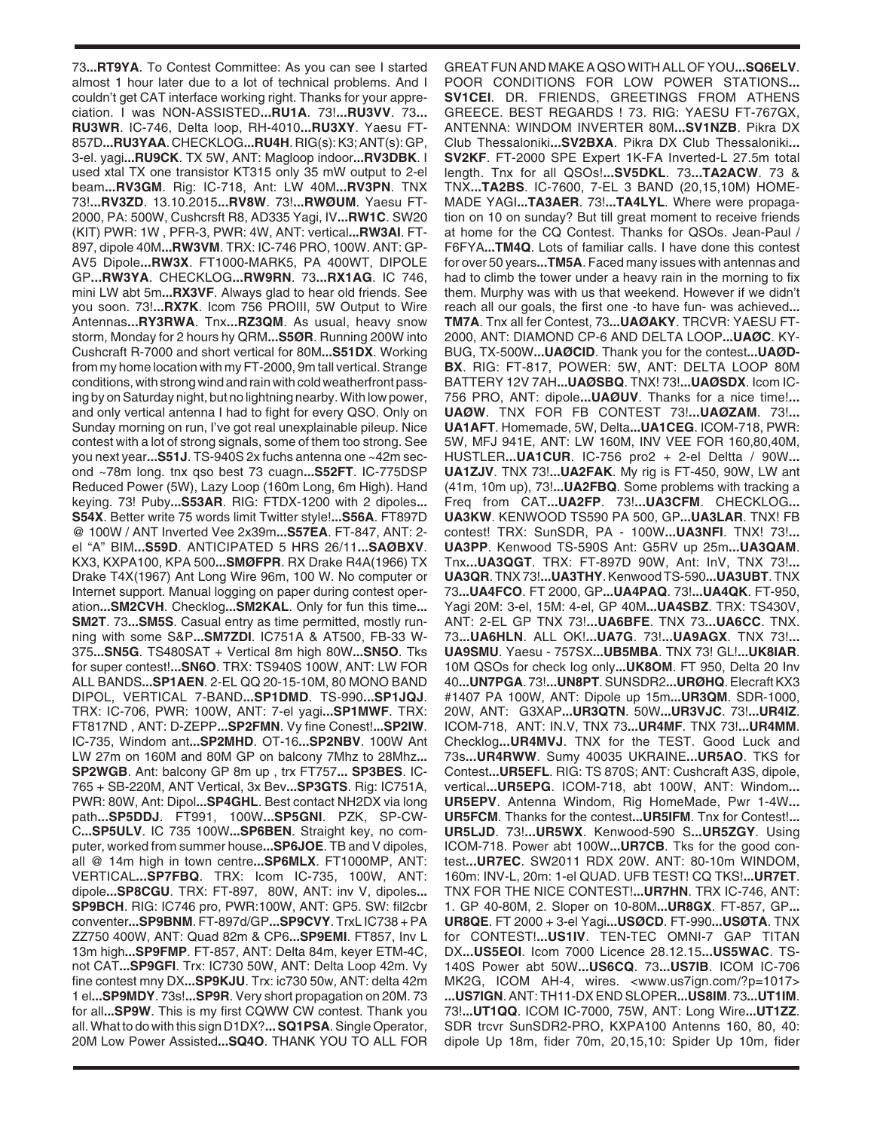73**...RT9YA**. To Contest Committee: As you can see I started almost 1 hour later due to a lot of technical problems. And I couldn't get CAT interface working right. Thanks for your appreciation. I was NON-ASSISTED**...RU1A**. 73!**...RU3VV**. 73**... RU3WR**. IC-746, Delta loop, RH-4010**...RU3XY**. Yaesu FT-857D**...RU3YAA**. CHECKLOG**...RU4H**. RIG(s): K3; ANT(s): GP, 3-el. yagi**...RU9CK**. TX 5W, ANT: Magloop indoor**...RV3DBK**. I used xtal TX one transistor KT315 only 35 mW output to 2-el beam**...RV3GM**. Rig: IC-718, Ant: LW 40M**...RV3PN**. TNX 73!**...RV3ZD**. 13.10.2015**...RV8W**. 73!**...RWØUM**. Yaesu FT-2000, PA: 500W, Cushcrsft R8, AD335 Yagi, IV**...RW1C**. SW20 (KIT) PWR: 1W , PFR-3, PWR: 4W, ANT: vertical**...RW3AI**. FT-897, dipole 40M**...RW3VM**. TRX: IC-746 PRO, 100W. ANT: GP-AV5 Dipole**...RW3X**. FT1000-MARK5, PA 400WT, DIPOLE GP**...RW3YA**. CHECKLOG**...RW9RN**. 73**...RX1AG**. IC 746, mini LW abt 5m**...RX3VF**. Always glad to hear old friends. See you soon. 73!**...RX7K**. Icom 756 PROIII, 5W Output to Wire Antennas**...RY3RWA**. Tnx**...RZ3QM**. As usual, heavy snow storm, Monday for 2 hours hy QRM**...S5ØR**. Running 200W into Cushcraft R-7000 and short vertical for 80M**...S51DX**. Working from my home location with my FT-2000, 9m tall vertical. Strange conditions, with strong wind and rain with cold weatherfront passing by on Saturday night, but no lightning nearby. With low power, and only vertical antenna I had to fight for every QSO. Only on Sunday morning on run, I've got real unexplainable pileup. Nice contest with a lot of strong signals, some of them too strong. See you next year**...S51J**. TS-940S 2x fuchs antenna one ~42m second ~78m long. tnx qso best 73 cuagn**...S52FT**. IC-775DSP Reduced Power (5W), Lazy Loop (160m Long, 6m High). Hand keying. 73! Puby**...S53AR**. RIG: FTDX-1200 with 2 dipoles**... S54X**. Better write 75 words limit Twitter style!**...S56A**. FT897D @ 100W / ANT Inverted Vee 2x39m**...S57EA**. FT-847, ANT: 2 el "A" BIM**...S59D**. ANTICIPATED 5 HRS 26/11**...SAØBXV**. KX3, KXPA100, KPA 500**...SMØFPR**. RX Drake R4A(1966) TX Drake T4X(1967) Ant Long Wire 96m, 100 W. No computer or Internet support. Manual logging on paper during contest operation**...SM2CVH**. Checklog**...SM2KAL**. Only for fun this time**... SM2T**. 73**...SM5S**. Casual entry as time permitted, mostly running with some S&P**...SM7ZDI**. IC751A & AT500, FB-33 W-375**...SN5G**. TS480SAT + Vertical 8m high 80W**...SN5O**. Tks for super contest!**...SN6O**. TRX: TS940S 100W, ANT: LW FOR ALL BANDS**...SP1AEN**. 2-EL QQ 20-15-10M, 80 MONO BAND DIPOL, VERTICAL 7-BAND**...SP1DMD**. TS-990**...SP1JQJ**. TRX: IC-706, PWR: 100W, ANT: 7-el yagi**...SP1MWF**. TRX: FT817ND , ANT: D-ZEPP**...SP2FMN**. Vy fine Conest!**...SP2IW**. IC-735, Windom ant**...SP2MHD**. OT-16**...SP2NBV**. 100W Ant LW 27m on 160M and 80M GP on balcony 7Mhz to 28Mhz**... SP2WGB**. Ant: balcony GP 8m up , trx FT757**... SP3BES**. IC-765 + SB-220M, ANT Vertical, 3x Bev**...SP3GTS**. Rig: IC751A, PWR: 80W, Ant: Dipol**...SP4GHL**. Best contact NH2DX via long path**...SP5DDJ**. FT991, 100W**...SP5GNI**. PZK, SP-CW-C**...SP5ULV**. IC 735 100W**...SP6BEN**. Straight key, no computer, worked from summer house**...SP6JOE**. TB and V dipoles, all @ 14m high in town centre**...SP6MLX**. FT1000MP, ANT: VERTICAL**...SP7FBQ**. TRX: Icom IC-735, 100W, ANT: dipole**...SP8CGU**. TRX: FT-897, 80W, ANT: inv V, dipoles**... SP9BCH**. RIG: IC746 pro, PWR:100W, ANT: GP5. SW: fil2cbr conventer**...SP9BNM**. FT-897d/GP**...SP9CVY**. TrxL IC738 + PA ZZ750 400W, ANT: Quad 82m & CP6**...SP9EMI**. FT857, Inv L 13m high**...SP9FMP**. FT-857, ANT: Delta 84m, keyer ETM-4C, not CAT**...SP9GFI**. Trx: IC730 50W, ANT: Delta Loop 42m. Vy fine contest mny DX**...SP9KJU**. Trx: ic730 50w, ANT: delta 42m 1 el**...SP9MDY**. 73s!**...SP9R**. Very short propagation on 20M. 73 for all**...SP9W**. This is my first CQWW CW contest. Thank you all. What to do with this sign D1DX?**... SQ1PSA**. Single Operator, 20M Low Power Assisted**...SQ4O**. THANK YOU TO ALL FOR

GREAT FUN AND MAKE A QSO WITH ALL OF YOU**...SQ6ELV**. POOR CONDITIONS FOR LOW POWER STATIONS**... SV1CEI**. DR. FRIENDS, GREETINGS FROM ATHENS GREECE. BEST REGARDS ! 73. RIG: YAESU FT-767GX, ANTENNA: WINDOM INVERTER 80M**...SV1NZB**. Pikra DX Club Thessaloniki**...SV2BXA**. Pikra DX Club Thessaloniki**... SV2KF**. FT-2000 SPE Expert 1K-FA Inverted-L 27.5m total length. Tnx for all QSOs!**...SV5DKL**. 73**...TA2ACW**. 73 & TNX**...TA2BS**. IC-7600, 7-EL 3 BAND (20,15,10M) HOME-MADE YAGI**...TA3AER**. 73!**...TA4LYL**. Where were propagation on 10 on sunday? But till great moment to receive friends at home for the CQ Contest. Thanks for QSOs. Jean-Paul / F6FYA**...TM4Q**. Lots of familiar calls. I have done this contest for over 50 years**...TM5A**. Faced many issues with antennas and had to climb the tower under a heavy rain in the morning to fix them. Murphy was with us that weekend. However if we didn't reach all our goals, the first one -to have fun- was achieved**... TM7A**. Tnx all fer Contest, 73**...UAØAKY**. TRCVR: YAESU FT-2000, ANT: DIAMOND CP-6 AND DELTA LOOP**...UAØC**. KY-BUG, TX-500W**...UAØCID**. Thank you for the contest**...UAØD-BX**. RIG: FT-817, POWER: 5W, ANT: DELTA LOOP 80M BATTERY 12V 7AH**...UAØSBQ**. TNX! 73!**...UAØSDX**. Icom IC-756 PRO, ANT: dipole**...UAØUV**. Thanks for a nice time!**... UAØW**. TNX FOR FB CONTEST 73!**...UAØZAM**. 73!**... UA1AFT**. Homemade, 5W, Delta**...UA1CEG**. ICOM-718, PWR: 5W, MFJ 941E, ANT: LW 160M, INV VEE FOR 160,80,40M, HUSTLER**...UA1CUR**. IC-756 pro2 + 2-el Deltta / 90W**... UA1ZJV**. TNX 73!**...UA2FAK**. My rig is FT-450, 90W, LW ant (41m, 10m up), 73!**...UA2FBQ**. Some problems with tracking a Freq from CAT**...UA2FP**. 73!**...UA3CFM**. CHECKLOG**... UA3KW**. KENWOOD TS590 PA 500, GP**...UA3LAR**. TNX! FB contest! TRX: SunSDR, PA - 100W**...UA3NFI**. TNX! 73!**... UA3PP**. Kenwood TS-590S Ant: G5RV up 25m**...UA3QAM**. Tnx**...UA3QGT**. TRX: FT-897D 90W, Ant: InV, TNX 73!**... UA3QR**. TNX 73!**...UA3THY**. Kenwood TS-590**...UA3UBT**. TNX 73**...UA4FCO**. FT 2000, GP**...UA4PAQ**. 73!**...UA4QK**. FT-950, Yagi 20M: 3-el, 15M: 4-el, GP 40M**...UA4SBZ**. TRX: TS430V, ANT: 2-EL GP TNX 73!**...UA6BFE**. TNX 73**...UA6CC**. TNX. 73**...UA6HLN**. ALL OK!**...UA7G**. 73!**...UA9AGX**. TNX 73!**... UA9SMU**. Yaesu - 757SX**...UB5MBA**. TNX 73! GL!**...UK8IAR**. 10M QSOs for check log only**...UK8OM**. FT 950, Delta 20 Inv 40**...UN7PGA**. 73!**...UN8PT**. SUNSDR2**...URØHQ**. Elecraft KX3 #1407 PA 100W, ANT: Dipole up 15m**...UR3QM**. SDR-1000, 20W, ANT: G3XAP**...UR3QTN**. 50W**...UR3VJC**. 73!**...UR4IZ**. ICOM-718, ANT: IN.V, TNX 73**...UR4MF**. TNX 73!**...UR4MM**. Checklog**...UR4MVJ**. TNX for the TEST. Good Luck and 73s**...UR4RWW**. Sumy 40035 UKRAINE**...UR5AO**. TKS for Contest**...UR5EFL**. RIG: TS 870S; ANT: Cushcraft A3S, dipole, vertical**...UR5EPG**. ICOM-718, abt 100W, ANT: Windom**... UR5EPV**. Antenna Windom, Rig HomeMade, Pwr 1-4W**... UR5FCM**. Thanks for the contest**...UR5IFM**. Tnx for Contest!**... UR5LJD**. 73!**...UR5WX**. Kenwood-590 S**...UR5ZGY**. Using ICOM-718. Power abt 100W**...UR7CB**. Tks for the good contest**...UR7EC**. SW2011 RDX 20W. ANT: 80-10m WINDOM, 160m: INV-L, 20m: 1-el QUAD. UFB TEST! CQ TKS!**...UR7ET**. TNX FOR THE NICE CONTEST!**...UR7HN**. TRX IC-746, ANT: 1. GP 40-80M, 2. Sloper on 10-80M**...UR8GX**. FT-857, GP**... UR8QE**. FT 2000 + 3-el Yagi**...USØCD**. FT-990**...USØTA**. TNX for CONTEST!**...US1IV**. TEN-TEC OMNI-7 GAP TITAN DX**...US5EOI**. Icom 7000 Licence 28.12.15**...US5WAC**. TS-140S Power abt 50W**...US6CQ**. 73**...US7IB**. ICOM IC-706 MK2G, ICOM AH-4, wires. <www.us7ign.com/?p=1017> **...US7IGN**. ANT: TH11-DX END SLOPER**...US8IM**. 73**...UT1IM**. 73!**...UT1QQ**. ICOM IC-7000, 75W, ANT: Long Wire**...UT1ZZ**. SDR trcvr SunSDR2-PRO, KXPA100 Antenns 160, 80, 40: dipole Up 18m, fider 70m, 20,15,10: Spider Up 10m, fider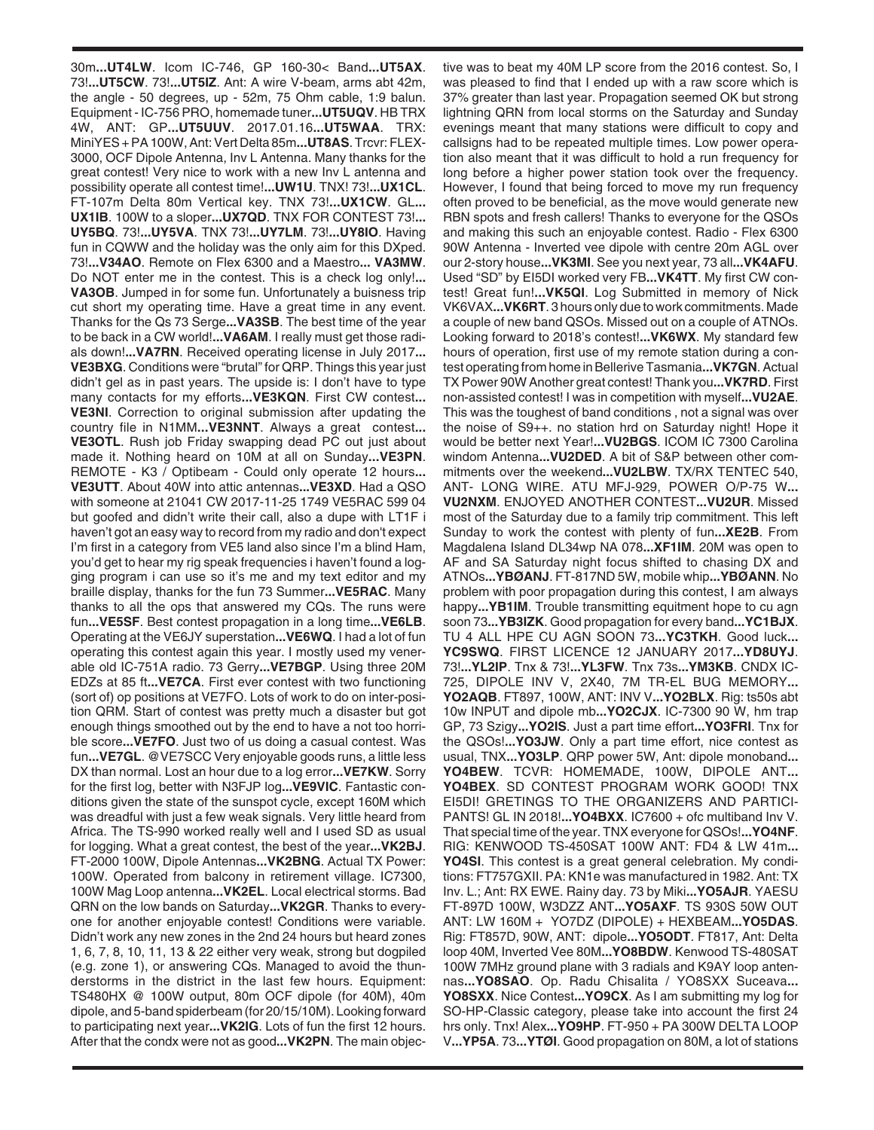30m**...UT4LW**. Icom IC-746, GP 160-30< Band**...UT5AX**. 73!**...UT5CW**. 73!**...UT5IZ**. Ant: A wire V-beam, arms abt 42m, the angle - 50 degrees, up - 52m, 75 Ohm cable, 1:9 balun. Equipment - IC-756 PRO, homemade tuner**...UT5UQV**. HB TRX 4W, ANT: GP**...UT5UUV**. 2017.01.16**...UT5WAA**. TRX: MiniYES + PA 100W, Ant: Vert Delta 85m**...UT8AS**. Trcvr: FLEX-3000, OCF Dipole Antenna, Inv L Antenna. Many thanks for the great contest! Very nice to work with a new Inv L antenna and possibility operate all contest time!**...UW1U**. TNX! 73!**...UX1CL**. FT-107m Delta 80m Vertical key. TNX 73!**...UX1CW**. GL**... UX1IB**. 100W to a sloper**...UX7QD**. TNX FOR CONTEST 73!**... UY5BQ**. 73!**...UY5VA**. TNX 73!**...UY7LM**. 73!**...UY8IO**. Having fun in CQWW and the holiday was the only aim for this DXped. 73!**...V34AO**. Remote on Flex 6300 and a Maestro**... VA3MW**. Do NOT enter me in the contest. This is a check log only!**... VA3OB**. Jumped in for some fun. Unfortunately a buisness trip cut short my operating time. Have a great time in any event. Thanks for the Qs 73 Serge**...VA3SB**. The best time of the year to be back in a CW world!**...VA6AM**. I really must get those radials down!**...VA7RN**. Received operating license in July 2017**... VE3BXG**. Conditions were "brutal" for QRP. Things this year just didn't gel as in past years. The upside is: I don't have to type many contacts for my efforts**...VE3KQN**. First CW contest**... VE3NI**. Correction to original submission after updating the country file in N1MM**...VE3NNT**. Always a great contest**... VE3OTL**. Rush job Friday swapping dead PC out just about made it. Nothing heard on 10M at all on Sunday**...VE3PN**. REMOTE - K3 / Optibeam - Could only operate 12 hours**... VE3UTT**. About 40W into attic antennas**...VE3XD**. Had a QSO with someone at 21041 CW 2017-11-25 1749 VE5RAC 599 04 but goofed and didn't write their call, also a dupe with LT1F i haven't got an easy way to record from my radio and don't expect I'm first in a category from VE5 land also since I'm a blind Ham, you'd get to hear my rig speak frequencies i haven't found a logging program i can use so it's me and my text editor and my braille display, thanks for the fun 73 Summer**...VE5RAC**. Many thanks to all the ops that answered my CQs. The runs were fun**...VE5SF**. Best contest propagation in a long time**...VE6LB**. Operating at the VE6JY superstation**...VE6WQ**. I had a lot of fun operating this contest again this year. I mostly used my venerable old IC-751A radio. 73 Gerry**...VE7BGP**. Using three 20M EDZs at 85 ft**...VE7CA**. First ever contest with two functioning (sort of) op positions at VE7FO. Lots of work to do on inter-position QRM. Start of contest was pretty much a disaster but got enough things smoothed out by the end to have a not too horrible score**...VE7FO**. Just two of us doing a casual contest. Was fun**...VE7GL**. @VE7SCC Very enjoyable goods runs, a little less DX than normal. Lost an hour due to a log error**...VE7KW**. Sorry for the first log, better with N3FJP log**...VE9VIC**. Fantastic conditions given the state of the sunspot cycle, except 160M which was dreadful with just a few weak signals. Very little heard from Africa. The TS-990 worked really well and I used SD as usual for logging. What a great contest, the best of the year**...VK2BJ**. FT-2000 100W, Dipole Antennas**...VK2BNG**. Actual TX Power: 100W. Operated from balcony in retirement village. IC7300, 100W Mag Loop antenna**...VK2EL**. Local electrical storms. Bad QRN on the low bands on Saturday**...VK2GR**. Thanks to everyone for another enjoyable contest! Conditions were variable. Didn't work any new zones in the 2nd 24 hours but heard zones 1, 6, 7, 8, 10, 11, 13 & 22 either very weak, strong but dogpiled (e.g. zone 1), or answering CQs. Managed to avoid the thunderstorms in the district in the last few hours. Equipment: TS480HX @ 100W output, 80m OCF dipole (for 40M), 40m dipole, and 5-band spiderbeam (for 20/15/10M). Looking forward to participating next year**...VK2IG**. Lots of fun the first 12 hours. After that the condx were not as good**...VK2PN**. The main objective was to beat my 40M LP score from the 2016 contest. So, I was pleased to find that I ended up with a raw score which is 37% greater than last year. Propagation seemed OK but strong lightning QRN from local storms on the Saturday and Sunday evenings meant that many stations were difficult to copy and callsigns had to be repeated multiple times. Low power operation also meant that it was difficult to hold a run frequency for long before a higher power station took over the frequency. However, I found that being forced to move my run frequency often proved to be beneficial, as the move would generate new RBN spots and fresh callers! Thanks to everyone for the QSOs and making this such an enjoyable contest. Radio - Flex 6300 90W Antenna - Inverted vee dipole with centre 20m AGL over our 2-story house**...VK3MI**. See you next year, 73 all**...VK4AFU**. Used "SD" by EI5DI worked very FB**...VK4TT**. My first CW contest! Great fun!**...VK5QI**. Log Submitted in memory of Nick VK6VAX**...VK6RT**. 3 hours only due to work commitments. Made a couple of new band QSOs. Missed out on a couple of ATNOs. Looking forward to 2018's contest!**...VK6WX**. My standard few hours of operation, first use of my remote station during a contest operating from home in Bellerive Tasmania**...VK7GN**. Actual TX Power 90W Another great contest! Thank you**...VK7RD**. First non-assisted contest! I was in competition with myself**...VU2AE**. This was the toughest of band conditions , not a signal was over the noise of S9++. no station hrd on Saturday night! Hope it would be better next Year!**...VU2BGS**. ICOM IC 7300 Carolina windom Antenna**...VU2DED**. A bit of S&P between other commitments over the weekend**...VU2LBW**. TX/RX TENTEC 540, ANT- LONG WIRE. ATU MFJ-929, POWER O/P-75 W**... VU2NXM**. ENJOYED ANOTHER CONTEST**...VU2UR**. Missed most of the Saturday due to a family trip commitment. This left Sunday to work the contest with plenty of fun**...XE2B**. From Magdalena Island DL34wp NA 078**...XF1IM**. 20M was open to AF and SA Saturday night focus shifted to chasing DX and ATNOs**...YBØANJ**. FT-817ND 5W, mobile whip**...YBØANN**. No problem with poor propagation during this contest, I am always happy**...YB1IM**. Trouble transmitting equitment hope to cu agn soon 73**...YB3IZK**. Good propagation for every band**...YC1BJX**. TU 4 ALL HPE CU AGN SOON 73**...YC3TKH**. Good luck**... YC9SWQ**. FIRST LICENCE 12 JANUARY 2017**...YD8UYJ**. 73!**...YL2IP**. Tnx & 73!**...YL3FW**. Tnx 73s**...YM3KB**. CNDX IC-725, DIPOLE INV V, 2X40, 7M TR-EL BUG MEMORY**... YO2AQB**. FT897, 100W, ANT: INV V**...YO2BLX**. Rig: ts50s abt 10w INPUT and dipole mb**...YO2CJX**. IC-7300 90 W, hm trap GP, 73 Szigy**...YO2IS**. Just a part time effort**...YO3FRI**. Tnx for the QSOs!**...YO3JW**. Only a part time effort, nice contest as usual, TNX**...YO3LP**. QRP power 5W, Ant: dipole monoband**... YO4BEW**. TCVR: HOMEMADE, 100W, DIPOLE ANT**... YO4BEX**. SD CONTEST PROGRAM WORK GOOD! TNX EI5DI! GRETINGS TO THE ORGANIZERS AND PARTICI-PANTS! GL IN 2018!**...YO4BXX**. IC7600 + ofc multiband Inv V. That special time of the year. TNX everyone for QSOs!**...YO4NF**. RIG: KENWOOD TS-450SAT 100W ANT: FD4 & LW 41m**... YO4SI**. This contest is a great general celebration. My conditions: FT757GXII. PA: KN1e was manufactured in 1982. Ant: TX Inv. L.; Ant: RX EWE. Rainy day. 73 by Miki**...YO5AJR**. YAESU FT-897D 100W, W3DZZ ANT**...YO5AXF**. TS 930S 50W OUT ANT: LW 160M + YO7DZ (DIPOLE) + HEXBEAM**...YO5DAS**. Rig: FT857D, 90W, ANT: dipole**...YO5ODT**. FT817, Ant: Delta loop 40M, Inverted Vee 80M**...YO8BDW**. Kenwood TS-480SAT 100W 7MHz ground plane with 3 radials and K9AY loop antennas**...YO8SAO**. Op. Radu Chisalita / YO8SXX Suceava**... YO8SXX**. Nice Contest**...YO9CX**. As I am submitting my log for SO-HP-Classic category, please take into account the first 24 hrs only. Tnx! Alex**...YO9HP**. FT-950 + PA 300W DELTA LOOP V**...YP5A**. 73**...YTØI**. Good propagation on 80M, a lot of stations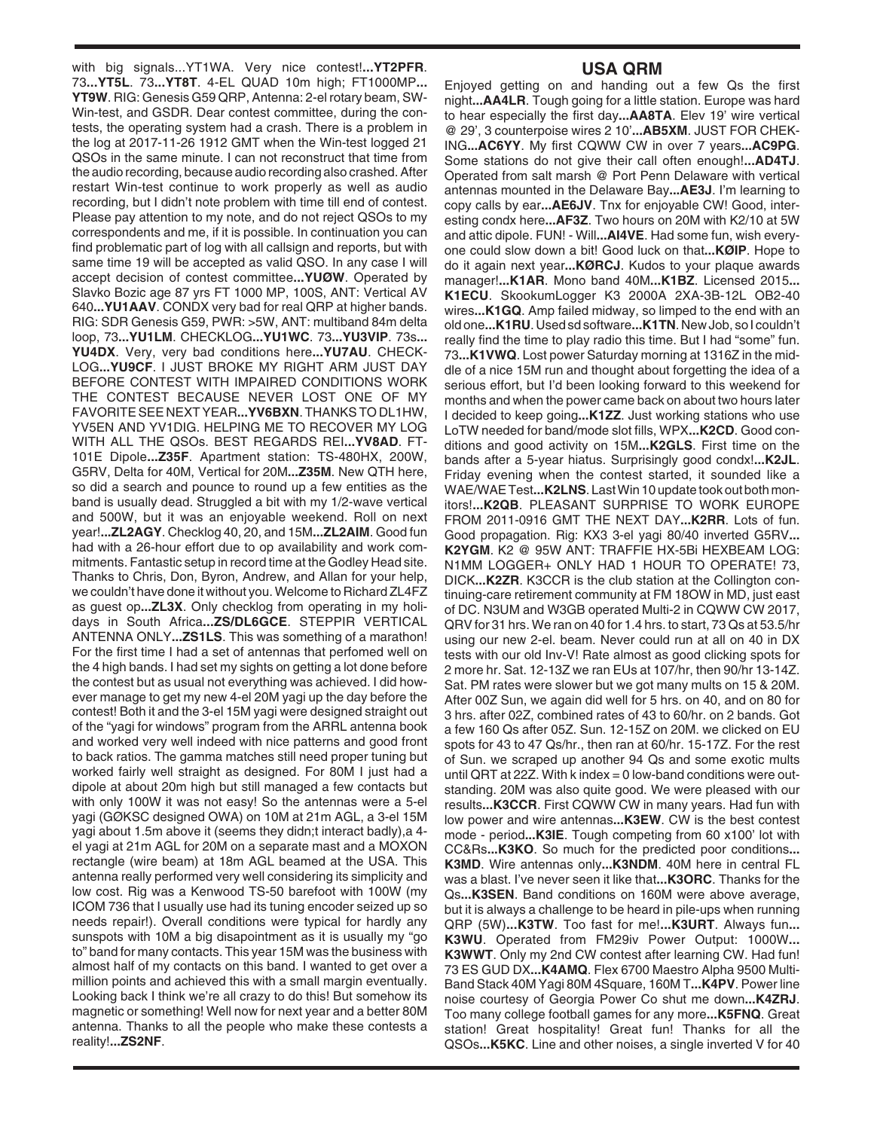with big signals...YT1WA. Very nice contest!**...YT2PFR**. 73**...YT5L**. 73**...YT8T**. 4-EL QUAD 10m high; FT1000MP**... YT9W**. RIG: Genesis G59 QRP, Antenna: 2-el rotary beam, SW-Win-test, and GSDR. Dear contest committee, during the contests, the operating system had a crash. There is a problem in the log at 2017-11-26 1912 GMT when the Win-test logged 21 QSOs in the same minute. I can not reconstruct that time from the audio recording, because audio recording also crashed. After restart Win-test continue to work properly as well as audio recording, but I didn't note problem with time till end of contest. Please pay attention to my note, and do not reject QSOs to my correspondents and me, if it is possible. In continuation you can find problematic part of log with all callsign and reports, but with same time 19 will be accepted as valid QSO. In any case I will accept decision of contest committee**...YUØW**. Operated by Slavko Bozic age 87 yrs FT 1000 MP, 100S, ANT: Vertical AV 640**...YU1AAV**. CONDX very bad for real QRP at higher bands. RIG: SDR Genesis G59, PWR: >5W, ANT: multiband 84m delta loop, 73**...YU1LM**. CHECKLOG**...YU1WC**. 73**...YU3VIP**. 73s**... YU4DX**. Very, very bad conditions here**...YU7AU**. CHECK-LOG**...YU9CF**. I JUST BROKE MY RIGHT ARM JUST DAY BEFORE CONTEST WITH IMPAIRED CONDITIONS WORK THE CONTEST BECAUSE NEVER LOST ONE OF MY FAVORITE SEE NEXT YEAR**...YV6BXN**. THANKS TO DL1HW, YV5EN AND YV1DIG. HELPING ME TO RECOVER MY LOG WITH ALL THE QSOs. BEST REGARDS REI**...YV8AD**. FT-101E Dipole**...Z35F**. Apartment station: TS-480HX, 200W, G5RV, Delta for 40M, Vertical for 20M**...Z35M**. New QTH here, so did a search and pounce to round up a few entities as the band is usually dead. Struggled a bit with my 1/2-wave vertical and 500W, but it was an enjoyable weekend. Roll on next year!**...ZL2AGY**. Checklog 40, 20, and 15M**...ZL2AIM**. Good fun had with a 26-hour effort due to op availability and work commitments. Fantastic setup in record time at the Godley Head site. Thanks to Chris, Don, Byron, Andrew, and Allan for your help, we couldn't have done it without you. Welcome to Richard ZL4FZ as guest op**...ZL3X**. Only checklog from operating in my holidays in South Africa**...ZS/DL6GCE**. STEPPIR VERTICAL ANTENNA ONLY**...ZS1LS**. This was something of a marathon! For the first time I had a set of antennas that perfomed well on the 4 high bands. I had set my sights on getting a lot done before the contest but as usual not everything was achieved. I did however manage to get my new 4-el 20M yagi up the day before the contest! Both it and the 3-el 15M yagi were designed straight out of the "yagi for windows" program from the ARRL antenna book and worked very well indeed with nice patterns and good front to back ratios. The gamma matches still need proper tuning but worked fairly well straight as designed. For 80M I just had a dipole at about 20m high but still managed a few contacts but with only 100W it was not easy! So the antennas were a 5-el yagi (GØKSC designed OWA) on 10M at 21m AGL, a 3-el 15M yagi about 1.5m above it (seems they didn;t interact badly),a 4 el yagi at 21m AGL for 20M on a separate mast and a MOXON rectangle (wire beam) at 18m AGL beamed at the USA. This antenna really performed very well considering its simplicity and low cost. Rig was a Kenwood TS-50 barefoot with 100W (my ICOM 736 that I usually use had its tuning encoder seized up so needs repair!). Overall conditions were typical for hardly any sunspots with 10M a big disapointment as it is usually my "go to" band for many contacts. This year 15M was the business with almost half of my contacts on this band. I wanted to get over a million points and achieved this with a small margin eventually. Looking back I think we're all crazy to do this! But somehow its magnetic or something! Well now for next year and a better 80M antenna. Thanks to all the people who make these contests a reality!**...ZS2NF**.

## **USA QRM**

Enjoyed getting on and handing out a few Qs the first night**...AA4LR**. Tough going for a little station. Europe was hard to hear especially the first day**...AA8TA**. Elev 19' wire vertical @ 29', 3 counterpoise wires 2 10'**...AB5XM**. JUST FOR CHEK-ING**...AC6YY**. My first CQWW CW in over 7 years**...AC9PG**. Some stations do not give their call often enough!**...AD4TJ**. Operated from salt marsh @ Port Penn Delaware with vertical antennas mounted in the Delaware Bay**...AE3J**. I'm learning to copy calls by ear**...AE6JV**. Tnx for enjoyable CW! Good, interesting condx here**...AF3Z**. Two hours on 20M with K2/10 at 5W and attic dipole. FUN! - Will**...AI4VE**. Had some fun, wish everyone could slow down a bit! Good luck on that**...KØIP**. Hope to do it again next year**...KØRCJ**. Kudos to your plaque awards manager!**...K1AR**. Mono band 40M**...K1BZ**. Licensed 2015**... K1ECU**. SkookumLogger K3 2000A 2XA-3B-12L OB2-40 wires**...K1GQ**. Amp failed midway, so limped to the end with an old one**...K1RU**. Used sd software**...K1TN**. New Job, so I couldn't really find the time to play radio this time. But I had "some" fun. 73**...K1VWQ**. Lost power Saturday morning at 1316Z in the middle of a nice 15M run and thought about forgetting the idea of a serious effort, but I'd been looking forward to this weekend for months and when the power came back on about two hours later I decided to keep going**...K1ZZ**. Just working stations who use LoTW needed for band/mode slot fills, WPX**...K2CD**. Good conditions and good activity on 15M**...K2GLS**. First time on the bands after a 5-year hiatus. Surprisingly good condx!**...K2JL**. Friday evening when the contest started, it sounded like a WAE/WAE Test**...K2LNS**. Last Win 10 update took out both monitors!**...K2QB**. PLEASANT SURPRISE TO WORK EUROPE FROM 2011-0916 GMT THE NEXT DAY**...K2RR**. Lots of fun. Good propagation. Rig: KX3 3-el yagi 80/40 inverted G5RV**... K2YGM**. K2 @ 95W ANT: TRAFFIE HX-5Bi HEXBEAM LOG: N1MM LOGGER+ ONLY HAD 1 HOUR TO OPERATE! 73, DICK**...K2ZR**. K3CCR is the club station at the Collington continuing-care retirement community at FM 18OW in MD, just east of DC. N3UM and W3GB operated Multi-2 in CQWW CW 2017, QRV for 31 hrs. We ran on 40 for 1.4 hrs. to start, 73 Qs at 53.5/hr using our new 2-el. beam. Never could run at all on 40 in DX tests with our old Inv-V! Rate almost as good clicking spots for 2 more hr. Sat. 12-13Z we ran EUs at 107/hr, then 90/hr 13-14Z. Sat. PM rates were slower but we got many mults on 15 & 20M. After 00Z Sun, we again did well for 5 hrs. on 40, and on 80 for 3 hrs. after 02Z, combined rates of 43 to 60/hr. on 2 bands. Got a few 160 Qs after 05Z. Sun. 12-15Z on 20M. we clicked on EU spots for 43 to 47 Qs/hr., then ran at 60/hr. 15-17Z. For the rest of Sun. we scraped up another 94 Qs and some exotic mults until QRT at 22Z. With k index = 0 low-band conditions were outstanding. 20M was also quite good. We were pleased with our results**...K3CCR**. First CQWW CW in many years. Had fun with low power and wire antennas**...K3EW**. CW is the best contest mode - period**...K3IE**. Tough competing from 60 x100' lot with CC&Rs**...K3KO**. So much for the predicted poor conditions**... K3MD**. Wire antennas only**...K3NDM**. 40M here in central FL was a blast. I've never seen it like that**...K3ORC**. Thanks for the Qs**...K3SEN**. Band conditions on 160M were above average, but it is always a challenge to be heard in pile-ups when running QRP (5W)**...K3TW**. Too fast for me!**...K3URT**. Always fun**... K3WU**. Operated from FM29iv Power Output: 1000W**... K3WWT**. Only my 2nd CW contest after learning CW. Had fun! 73 ES GUD DX**...K4AMQ**. Flex 6700 Maestro Alpha 9500 Multi-Band Stack 40M Yagi 80M 4Square, 160M T**...K4PV**. Power line noise courtesy of Georgia Power Co shut me down**...K4ZRJ**. Too many college football games for any more**...K5FNQ**. Great station! Great hospitality! Great fun! Thanks for all the QSOs**...K5KC**. Line and other noises, a single inverted V for 40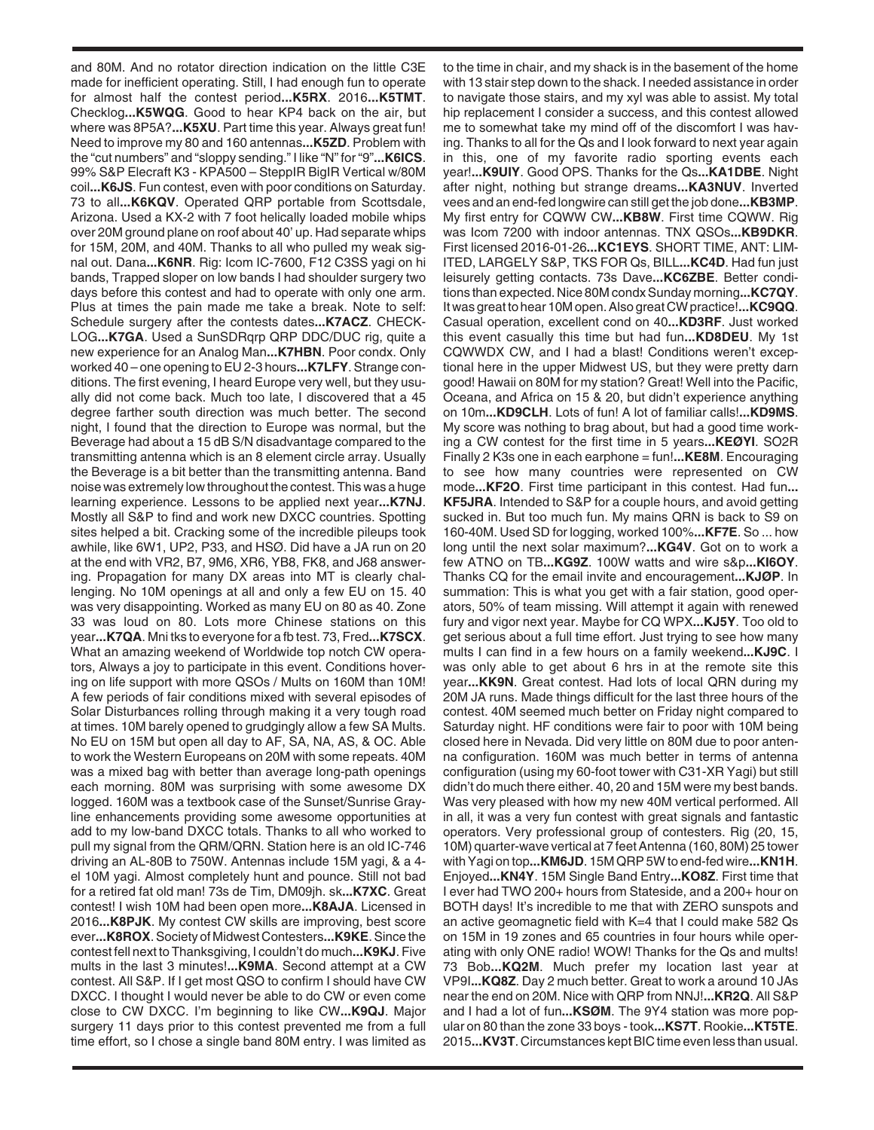and 80M. And no rotator direction indication on the little C3E made for inefficient operating. Still, I had enough fun to operate for almost half the contest period**...K5RX**. 2016**...K5TMT**. Checklog**...K5WQG**. Good to hear KP4 back on the air, but where was 8P5A?**...K5XU**. Part time this year. Always great fun! Need to improve my 80 and 160 antennas**...K5ZD**. Problem with the "cut numbers" and "sloppy sending." I like "N" for "9"**...K6ICS**. 99% S&P Elecraft K3 - KPA500 – SteppIR BigIR Vertical w/80M coil**...K6JS**. Fun contest, even with poor conditions on Saturday. 73 to all**...K6KQV**. Operated QRP portable from Scottsdale, Arizona. Used a KX-2 with 7 foot helically loaded mobile whips over 20M ground plane on roof about 40' up. Had separate whips for 15M, 20M, and 40M. Thanks to all who pulled my weak signal out. Dana**...K6NR**. Rig: Icom IC-7600, F12 C3SS yagi on hi bands, Trapped sloper on low bands I had shoulder surgery two days before this contest and had to operate with only one arm. Plus at times the pain made me take a break. Note to self: Schedule surgery after the contests dates**...K7ACZ**. CHECK-LOG**...K7GA**. Used a SunSDRqrp QRP DDC/DUC rig, quite a new experience for an Analog Man**...K7HBN**. Poor condx. Only worked 40 – one opening to EU 2-3 hours**...K7LFY**. Strange conditions. The first evening, I heard Europe very well, but they usually did not come back. Much too late, I discovered that a 45 degree farther south direction was much better. The second night, I found that the direction to Europe was normal, but the Beverage had about a 15 dB S/N disadvantage compared to the transmitting antenna which is an 8 element circle array. Usually the Beverage is a bit better than the transmitting antenna. Band noise was extremely low throughout the contest. This was a huge learning experience. Lessons to be applied next year**...K7NJ**. Mostly all S&P to find and work new DXCC countries. Spotting sites helped a bit. Cracking some of the incredible pileups took awhile, like 6W1, UP2, P33, and HSØ. Did have a JA run on 20 at the end with VR2, B7, 9M6, XR6, YB8, FK8, and J68 answering. Propagation for many DX areas into MT is clearly challenging. No 10M openings at all and only a few EU on 15. 40 was very disappointing. Worked as many EU on 80 as 40. Zone 33 was loud on 80. Lots more Chinese stations on this year**...K7QA**. Mni tks to everyone for a fb test. 73, Fred**...K7SCX**. What an amazing weekend of Worldwide top notch CW operators, Always a joy to participate in this event. Conditions hovering on life support with more QSOs / Mults on 160M than 10M! A few periods of fair conditions mixed with several episodes of Solar Disturbances rolling through making it a very tough road at times. 10M barely opened to grudgingly allow a few SA Mults. No EU on 15M but open all day to AF, SA, NA, AS, & OC. Able to work the Western Europeans on 20M with some repeats. 40M was a mixed bag with better than average long-path openings each morning. 80M was surprising with some awesome DX logged. 160M was a textbook case of the Sunset/Sunrise Grayline enhancements providing some awesome opportunities at add to my low-band DXCC totals. Thanks to all who worked to pull my signal from the QRM/QRN. Station here is an old IC-746 driving an AL-80B to 750W. Antennas include 15M yagi, & a 4 el 10M yagi. Almost completely hunt and pounce. Still not bad for a retired fat old man! 73s de Tim, DM09jh. sk**...K7XC**. Great contest! I wish 10M had been open more**...K8AJA**. Licensed in 2016**...K8PJK**. My contest CW skills are improving, best score ever**...K8ROX**. Society of Midwest Contesters**...K9KE**. Since the contest fell next to Thanksgiving, I couldn't do much**...K9KJ**. Five mults in the last 3 minutes!**...K9MA**. Second attempt at a CW contest. All S&P. If I get most QSO to confirm I should have CW DXCC. I thought I would never be able to do CW or even come close to CW DXCC. I'm beginning to like CW**...K9QJ**. Major surgery 11 days prior to this contest prevented me from a full time effort, so I chose a single band 80M entry. I was limited as

to the time in chair, and my shack is in the basement of the home with 13 stair step down to the shack. I needed assistance in order to navigate those stairs, and my xyl was able to assist. My total hip replacement I consider a success, and this contest allowed me to somewhat take my mind off of the discomfort I was having. Thanks to all for the Qs and I look forward to next year again in this, one of my favorite radio sporting events each year!**...K9UIY**. Good OPS. Thanks for the Qs**...KA1DBE**. Night after night, nothing but strange dreams**...KA3NUV**. Inverted vees and an end-fed longwire can still get the job done**...KB3MP**. My first entry for CQWW CW**...KB8W**. First time CQWW. Rig was Icom 7200 with indoor antennas. TNX QSOs**...KB9DKR**. First licensed 2016-01-26**...KC1EYS**. SHORT TIME, ANT: LIM-ITED, LARGELY S&P, TKS FOR Qs, BILL**...KC4D**. Had fun just leisurely getting contacts. 73s Dave**...KC6ZBE**. Better conditions than expected. Nice 80M condx Sunday morning**...KC7QY**. It was great to hear 10M open. Also great CW practice!**...KC9QQ**. Casual operation, excellent cond on 40**...KD3RF**. Just worked this event casually this time but had fun**...KD8DEU**. My 1st CQWWDX CW, and I had a blast! Conditions weren't exceptional here in the upper Midwest US, but they were pretty darn good! Hawaii on 80M for my station? Great! Well into the Pacific, Oceana, and Africa on 15 & 20, but didn't experience anything on 10m**...KD9CLH**. Lots of fun! A lot of familiar calls!**...KD9MS**. My score was nothing to brag about, but had a good time working a CW contest for the first time in 5 years**...KEØYI**. SO2R Finally 2 K3s one in each earphone = fun!**...KE8M**. Encouraging to see how many countries were represented on CW mode**...KF2O**. First time participant in this contest. Had fun**... KF5JRA**. Intended to S&P for a couple hours, and avoid getting sucked in. But too much fun. My mains QRN is back to S9 on 160-40M. Used SD for logging, worked 100%**...KF7E**. So ... how long until the next solar maximum?**...KG4V**. Got on to work a few ATNO on TB**...KG9Z**. 100W watts and wire s&p**...KI6OY**. Thanks CQ for the email invite and encouragement**...KJØP**. In summation: This is what you get with a fair station, good operators, 50% of team missing. Will attempt it again with renewed fury and vigor next year. Maybe for CQ WPX**...KJ5Y**. Too old to get serious about a full time effort. Just trying to see how many mults I can find in a few hours on a family weekend**...KJ9C**. I was only able to get about 6 hrs in at the remote site this year**...KK9N**. Great contest. Had lots of local QRN during my 20M JA runs. Made things difficult for the last three hours of the contest. 40M seemed much better on Friday night compared to Saturday night. HF conditions were fair to poor with 10M being closed here in Nevada. Did very little on 80M due to poor antenna configuration. 160M was much better in terms of antenna configuration (using my 60-foot tower with C31-XR Yagi) but still didn't do much there either. 40, 20 and 15M were my best bands. Was very pleased with how my new 40M vertical performed. All in all, it was a very fun contest with great signals and fantastic operators. Very professional group of contesters. Rig (20, 15, 10M) quarter-wave vertical at 7 feet Antenna (160, 80M) 25 tower with Yagi on top**...KM6JD**. 15M QRP 5W to end-fed wire**...KN1H**. Enjoyed**...KN4Y**. 15M Single Band Entry**...KO8Z**. First time that I ever had TWO 200+ hours from Stateside, and a 200+ hour on BOTH days! It's incredible to me that with ZERO sunspots and an active geomagnetic field with K=4 that I could make 582 Qs on 15M in 19 zones and 65 countries in four hours while operating with only ONE radio! WOW! Thanks for the Qs and mults! 73 Bob**...KQ2M**. Much prefer my location last year at VP9I**...KQ8Z**. Day 2 much better. Great to work a around 10 JAs near the end on 20M. Nice with QRP from NNJ!**...KR2Q**. All S&P and I had a lot of fun**...KSØM**. The 9Y4 station was more popular on 80 than the zone 33 boys - took**...KS7T**. Rookie**...KT5TE**. 2015**...KV3T**. Circumstances kept BIC time even less than usual.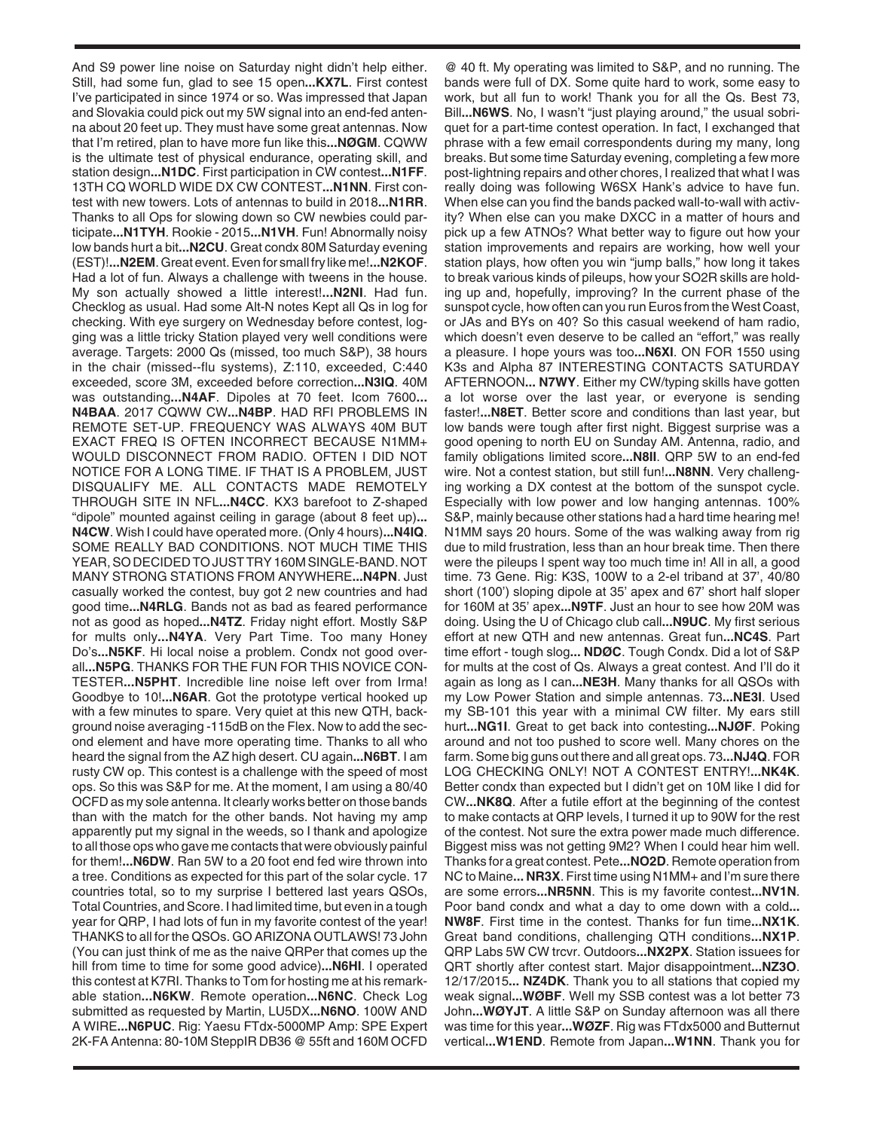And S9 power line noise on Saturday night didn't help either. Still, had some fun, glad to see 15 open**...KX7L**. First contest I've participated in since 1974 or so. Was impressed that Japan and Slovakia could pick out my 5W signal into an end-fed antenna about 20 feet up. They must have some great antennas. Now that I'm retired, plan to have more fun like this**...NØGM**. CQWW is the ultimate test of physical endurance, operating skill, and station design**...N1DC**. First participation in CW contest**...N1FF**. 13TH CQ WORLD WIDE DX CW CONTEST**...N1NN**. First contest with new towers. Lots of antennas to build in 2018**...N1RR**. Thanks to all Ops for slowing down so CW newbies could participate**...N1TYH**. Rookie - 2015**...N1VH**. Fun! Abnormally noisy low bands hurt a bit**...N2CU**. Great condx 80M Saturday evening (EST)!**...N2EM**. Great event. Even for small fry like me!**...N2KOF**. Had a lot of fun. Always a challenge with tweens in the house. My son actually showed a little interest!**...N2NI**. Had fun. Checklog as usual. Had some Alt-N notes Kept all Qs in log for checking. With eye surgery on Wednesday before contest, logging was a little tricky Station played very well conditions were average. Targets: 2000 Qs (missed, too much S&P), 38 hours in the chair (missed--flu systems), Z:110, exceeded, C:440 exceeded, score 3M, exceeded before correction**...N3IQ**. 40M was outstanding**...N4AF**. Dipoles at 70 feet. Icom 7600**... N4BAA**. 2017 CQWW CW**...N4BP**. HAD RFI PROBLEMS IN REMOTE SET-UP. FREQUENCY WAS ALWAYS 40M BUT EXACT FREQ IS OFTEN INCORRECT BECAUSE N1MM+ WOULD DISCONNECT FROM RADIO. OFTEN I DID NOT NOTICE FOR A LONG TIME. IF THAT IS A PROBLEM, JUST DISQUALIFY ME. ALL CONTACTS MADE REMOTELY THROUGH SITE IN NFL**...N4CC**. KX3 barefoot to Z-shaped "dipole" mounted against ceiling in garage (about 8 feet up)**... N4CW**. Wish I could have operated more. (Only 4 hours)**...N4IQ**. SOME REALLY BAD CONDITIONS. NOT MUCH TIME THIS YEAR, SO DECIDED TO JUST TRY 160M SINGLE-BAND. NOT MANY STRONG STATIONS FROM ANYWHERE**...N4PN**. Just casually worked the contest, buy got 2 new countries and had good time**...N4RLG**. Bands not as bad as feared performance not as good as hoped**...N4TZ**. Friday night effort. Mostly S&P for mults only**...N4YA**. Very Part Time. Too many Honey Do's**...N5KF**. Hi local noise a problem. Condx not good overall**...N5PG**. THANKS FOR THE FUN FOR THIS NOVICE CON-TESTER**...N5PHT**. Incredible line noise left over from Irma! Goodbye to 10!**...N6AR**. Got the prototype vertical hooked up with a few minutes to spare. Very quiet at this new QTH, background noise averaging -115dB on the Flex. Now to add the second element and have more operating time. Thanks to all who heard the signal from the AZ high desert. CU again**...N6BT**. I am rusty CW op. This contest is a challenge with the speed of most ops. So this was S&P for me. At the moment, I am using a 80/40 OCFD as my sole antenna. It clearly works better on those bands than with the match for the other bands. Not having my amp apparently put my signal in the weeds, so I thank and apologize to all those ops who gave me contacts that were obviously painful for them!**...N6DW**. Ran 5W to a 20 foot end fed wire thrown into a tree. Conditions as expected for this part of the solar cycle. 17 countries total, so to my surprise I bettered last years QSOs, Total Countries, and Score. I had limited time, but even in a tough year for QRP, I had lots of fun in my favorite contest of the year! THANKS to all for the QSOs. GO ARIZONA OUTLAWS! 73 John (You can just think of me as the naive QRPer that comes up the hill from time to time for some good advice)**...N6HI**. I operated this contest at K7RI. Thanks to Tom for hosting me at his remarkable station**...N6KW**. Remote operation**...N6NC**. Check Log submitted as requested by Martin, LU5DX**...N6NO**. 100W AND A WIRE**...N6PUC**. Rig: Yaesu FTdx-5000MP Amp: SPE Expert 2K-FA Antenna: 80-10M SteppIR DB36 @ 55ft and 160M OCFD

@ 40 ft. My operating was limited to S&P, and no running. The bands were full of DX. Some quite hard to work, some easy to work, but all fun to work! Thank you for all the Qs. Best 73, Bill**...N6WS**. No, I wasn't "just playing around," the usual sobriquet for a part-time contest operation. In fact, I exchanged that phrase with a few email correspondents during my many, long breaks. But some time Saturday evening, completing a few more post-lightning repairs and other chores, I realized that what I was really doing was following W6SX Hank's advice to have fun. When else can you find the bands packed wall-to-wall with activity? When else can you make DXCC in a matter of hours and pick up a few ATNOs? What better way to figure out how your station improvements and repairs are working, how well your station plays, how often you win "jump balls," how long it takes to break various kinds of pileups, how your SO2R skills are holding up and, hopefully, improving? In the current phase of the sunspot cycle, how often can you run Euros from the West Coast, or JAs and BYs on 40? So this casual weekend of ham radio, which doesn't even deserve to be called an "effort," was really a pleasure. I hope yours was too**...N6XI**. ON FOR 1550 using K3s and Alpha 87 INTERESTING CONTACTS SATURDAY AFTERNOON**... N7WY**. Either my CW/typing skills have gotten a lot worse over the last year, or everyone is sending faster!**...N8ET**. Better score and conditions than last year, but low bands were tough after first night. Biggest surprise was a good opening to north EU on Sunday AM. Antenna, radio, and family obligations limited score**...N8II**. QRP 5W to an end-fed wire. Not a contest station, but still fun!**...N8NN**. Very challenging working a DX contest at the bottom of the sunspot cycle. Especially with low power and low hanging antennas. 100% S&P, mainly because other stations had a hard time hearing me! N1MM says 20 hours. Some of the was walking away from rig due to mild frustration, less than an hour break time. Then there were the pileups I spent way too much time in! All in all, a good time. 73 Gene. Rig: K3S, 100W to a 2-el triband at 37', 40/80 short (100') sloping dipole at 35' apex and 67' short half sloper for 160M at 35' apex**...N9TF**. Just an hour to see how 20M was doing. Using the U of Chicago club call**...N9UC**. My first serious effort at new QTH and new antennas. Great fun**...NC4S**. Part time effort - tough slog**... NDØC**. Tough Condx. Did a lot of S&P for mults at the cost of Qs. Always a great contest. And I'll do it again as long as I can**...NE3H**. Many thanks for all QSOs with my Low Power Station and simple antennas. 73**...NE3I**. Used my SB-101 this year with a minimal CW filter. My ears still hurt**...NG1I**. Great to get back into contesting**...NJØF**. Poking around and not too pushed to score well. Many chores on the farm. Some big guns out there and all great ops. 73**...NJ4Q**. FOR LOG CHECKING ONLY! NOT A CONTEST ENTRY!**...NK4K**. Better condx than expected but I didn't get on 10M like I did for CW**...NK8Q**. After a futile effort at the beginning of the contest to make contacts at QRP levels, I turned it up to 90W for the rest of the contest. Not sure the extra power made much difference. Biggest miss was not getting 9M2? When I could hear him well. Thanks for a great contest. Pete**...NO2D**. Remote operation from NC to Maine**... NR3X**. First time using N1MM+ and I'm sure there are some errors**...NR5NN**. This is my favorite contest**...NV1N**. Poor band condx and what a day to ome down with a cold**... NW8F**. First time in the contest. Thanks for fun time**...NX1K**. Great band conditions, challenging QTH conditions**...NX1P**. QRP Labs 5W CW trcvr. Outdoors**...NX2PX**. Station issuees for QRT shortly after contest start. Major disappointment**...NZ3O**. 12/17/2015**... NZ4DK**. Thank you to all stations that copied my weak signal**...WØBF**. Well my SSB contest was a lot better 73 John**...WØYJT**. A little S&P on Sunday afternoon was all there was time for this year**...WØZF**. Rig was FTdx5000 and Butternut vertical**...W1END**. Remote from Japan**...W1NN**. Thank you for